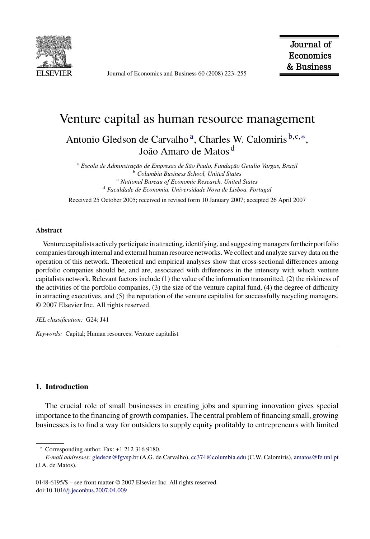

Journal of Economics and Business 60 (2008) 223–255

# Venture capital as human resource management Antonio Gledson de Carvalho<sup>a</sup>, Charles W. Calomiris <sup>b,c,∗</sup>, João Amaro de Matos d

<sup>a</sup> Escola de Adminstração de Empresas de São Paulo, Fundação Getulio Vargas, Brazil <sup>b</sup> *Columbia Business School, United States* <sup>c</sup> *National Bureau of Economic Research, United States* <sup>d</sup> *Faculdade de Economia, Universidade Nova de Lisboa, Portugal*

Received 25 October 2005; received in revised form 10 January 2007; accepted 26 April 2007

#### **Abstract**

Venture capitalists actively participate in attracting, identifying, and suggesting managers for their portfolio companies through internal and external human resource networks. We collect and analyze survey data on the operation of this network. Theoretical and empirical analyses show that cross-sectional differences among portfolio companies should be, and are, associated with differences in the intensity with which venture capitalists network. Relevant factors include (1) the value of the information transmitted, (2) the riskiness of the activities of the portfolio companies, (3) the size of the venture capital fund, (4) the degree of difficulty in attracting executives, and (5) the reputation of the venture capitalist for successfully recycling managers. © 2007 Elsevier Inc. All rights reserved.

*JEL classification:* G24; J41

*Keywords:* Capital; Human resources; Venture capitalist

## **1. Introduction**

The crucial role of small businesses in creating jobs and spurring innovation gives special importance to the financing of growth companies. The central problem of financing small, growing businesses is to find a way for outsiders to supply equity profitably to entrepreneurs with limited

<sup>∗</sup> Corresponding author. Fax: +1 212 316 9180.

*E-mail addresses:* [gledson@fgvsp.br](mailto:gledson@fgvsp.br) (A.G. de Carvalho), [cc374@columbia.edu](mailto:cc374@columbia.edu) (C.W. Calomiris), [amatos@fe.unl.pt](mailto:amatos@fe.unl.pt) (J.A. de Matos).

<sup>0148-6195/\$ –</sup> see front matter © 2007 Elsevier Inc. All rights reserved. doi[:10.1016/j.jeconbus.2007.04.009](dx.doi.org/10.1016/j.jeconbus.2007.04.009)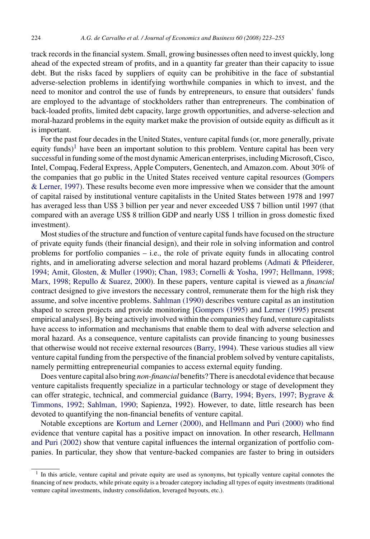track records in the financial system. Small, growing businesses often need to invest quickly, long ahead of the expected stream of profits, and in a quantity far greater than their capacity to issue debt. But the risks faced by suppliers of equity can be prohibitive in the face of substantial adverse-selection problems in identifying worthwhile companies in which to invest, and the need to monitor and control the use of funds by entrepreneurs, to ensure that outsiders' funds are employed to the advantage of stockholders rather than entrepreneurs. The combination of back-loaded profits, limited debt capacity, large growth opportunities, and adverse-selection and moral-hazard problems in the equity market make the provision of outside equity as difficult as it is important.

For the past four decades in the United States, venture capital funds (or, more generally, private equity funds)<sup>1</sup> have been an important solution to this problem. Venture capital has been very successful in funding some of the most dynamic American enterprises, including Microsoft, Cisco, Intel, Compaq, Federal Express, Apple Computers, Genentech, and Amazon.com. About 30% of the companies that go public in the United States received venture capital resources ([Gompers](#page-32-0) [& Lerner, 1997\).](#page-32-0) These results become even more impressive when we consider that the amount of capital raised by institutional venture capitalists in the United States between 1978 and 1997 has averaged less than US\$ 3 billion per year and never exceeded US\$ 7 billion until 1997 (that compared with an average US\$ 8 trillion GDP and nearly US\$ 1 trillion in gross domestic fixed investment).

Most studies of the structure and function of venture capital funds have focused on the structure of private equity funds (their financial design), and their role in solving information and control problems for portfolio companies – i.e., the role of private equity funds in allocating control rights, and in ameliorating adverse selection and moral hazard problems ([Admati & Pfleiderer,](#page-32-0) [1994;](#page-32-0) [Amit, Glosten, & Muller \(1990\);](#page-32-0) [Chan, 1983;](#page-32-0) [Cornelli & Yosha, 1997;](#page-32-0) [Hellmann, 1998;](#page-32-0) [Marx, 1998;](#page-32-0) [Repullo & Suarez, 2000\).](#page-32-0) In these papers, venture capital is viewed as a *financial* contract designed to give investors the necessary control, remunerate them for the high risk they assume, and solve incentive problems. [Sahlman \(1990\)](#page-32-0) describes venture capital as an institution shaped to screen projects and provide monitoring [[Gompers \(1995\)](#page-32-0) and [Lerner \(1995\)](#page-32-0) present empirical analyses]. By being actively involved within the companies they fund, venture capitalists have access to information and mechanisms that enable them to deal with adverse selection and moral hazard. As a consequence, venture capitalists can provide financing to young businesses that otherwise would not receive external resources [\(Barry, 1994\).](#page-32-0) These various studies all view venture capital funding from the perspective of the financial problem solved by venture capitalists, namely permitting entrepreneurial companies to access external equity funding.

Does venture capital also bring *non*-*financial* benefits? There is anecdotal evidence that because venture capitalists frequently specialize in a particular technology or stage of development they can offer strategic, technical, and commercial guidance ([Barry, 1994;](#page-32-0) [Byers, 1997;](#page-32-0) [Bygrave &](#page-32-0) [Timmons, 1992;](#page-32-0) [Sahlman, 1990;](#page-32-0) Sapienza, 1992). However, to date, little research has been devoted to quantifying the non-financial benefits of venture capital.

Notable exceptions are [Kortum and Lerner \(2000\),](#page-32-0) and [Hellmann and Puri \(2000\)](#page-32-0) who find evidence that venture capital has a positive impact on innovation. In other research, [Hellmann](#page-32-0) [and Puri \(2002\)](#page-32-0) show that venture capital influences the internal organization of portfolio companies. In particular, they show that venture-backed companies are faster to bring in outsiders

<sup>&</sup>lt;sup>1</sup> In this article, venture capital and private equity are used as synonyms, but typically venture capital connotes the financing of new products, while private equity is a broader category including all types of equity investments (traditional venture capital investments, industry consolidation, leveraged buyouts, etc.).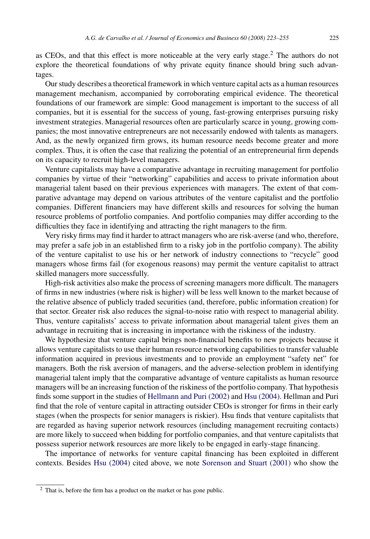as CEOs, and that this effect is more noticeable at the very early stage.<sup>2</sup> The authors do not explore the theoretical foundations of why private equity finance should bring such advantages.

Our study describes a theoretical framework in which venture capital acts as a human resources management mechanism, accompanied by corroborating empirical evidence. The theoretical foundations of our framework are simple: Good management is important to the success of all companies, but it is essential for the success of young, fast-growing enterprises pursuing risky investment strategies. Managerial resources often are particularly scarce in young, growing companies; the most innovative entrepreneurs are not necessarily endowed with talents as managers. And, as the newly organized firm grows, its human resource needs become greater and more complex. Thus, it is often the case that realizing the potential of an entrepreneurial firm depends on its capacity to recruit high-level managers.

Venture capitalists may have a comparative advantage in recruiting management for portfolio companies by virtue of their "networking" capabilities and access to private information about managerial talent based on their previous experiences with managers. The extent of that comparative advantage may depend on various attributes of the venture capitalist and the portfolio companies. Different financiers may have different skills and resources for solving the human resource problems of portfolio companies. And portfolio companies may differ according to the difficulties they face in identifying and attracting the right managers to the firm.

Very risky firms may find it harder to attract managers who are risk-averse (and who, therefore, may prefer a safe job in an established firm to a risky job in the portfolio company). The ability of the venture capitalist to use his or her network of industry connections to "recycle" good managers whose firms fail (for exogenous reasons) may permit the venture capitalist to attract skilled managers more successfully.

High-risk activities also make the process of screening managers more difficult. The managers of firms in new industries (where risk is higher) will be less well known to the market because of the relative absence of publicly traded securities (and, therefore, public information creation) for that sector. Greater risk also reduces the signal-to-noise ratio with respect to managerial ability. Thus, venture capitalists' access to private information about managerial talent gives them an advantage in recruiting that is increasing in importance with the riskiness of the industry.

We hypothesize that venture capital brings non-financial benefits to new projects because it allows venture capitalists to use their human resource networking capabilities to transfer valuable information acquired in previous investments and to provide an employment "safety net" for managers. Both the risk aversion of managers, and the adverse-selection problem in identifying managerial talent imply that the comparative advantage of venture capitalists as human resource managers will be an increasing function of the riskiness of the portfolio company. That hypothesis finds some support in the studies of [Hellmann and Puri \(2002\)](#page-32-0) and [Hsu \(2004\).](#page-32-0) Hellman and Puri find that the role of venture capital in attracting outsider CEOs is stronger for firms in their early stages (when the prospects for senior managers is riskier). Hsu finds that venture capitalists that are regarded as having superior network resources (including management recruiting contacts) are more likely to succeed when bidding for portfolio companies, and that venture capitalists that possess superior network resources are more likely to be engaged in early-stage financing.

The importance of networks for venture capital financing has been exploited in different contexts. Besides [Hsu \(2004\)](#page-32-0) cited above, we note [Sorenson and Stuart \(2001\)](#page-32-0) who show the

<sup>&</sup>lt;sup>2</sup> That is, before the firm has a product on the market or has gone public.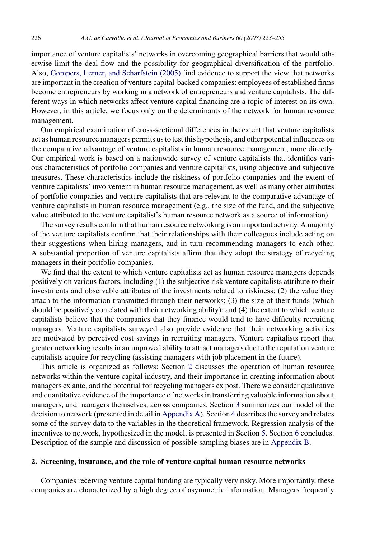importance of venture capitalists' networks in overcoming geographical barriers that would otherwise limit the deal flow and the possibility for geographical diversification of the portfolio. Also, [Gompers, Lerner, and Scharfstein \(2005\)](#page-32-0) find evidence to support the view that networks are important in the creation of venture capital-backed companies: employees of established firms become entrepreneurs by working in a network of entrepreneurs and venture capitalists. The different ways in which networks affect venture capital financing are a topic of interest on its own. However, in this article, we focus only on the determinants of the network for human resource management.

Our empirical examination of cross-sectional differences in the extent that venture capitalists act as human resource managers permits us to test this hypothesis, and other potential influences on the comparative advantage of venture capitalists in human resource management, more directly. Our empirical work is based on a nationwide survey of venture capitalists that identifies various characteristics of portfolio companies and venture capitalists, using objective and subjective measures. These characteristics include the riskiness of portfolio companies and the extent of venture capitalists' involvement in human resource management, as well as many other attributes of portfolio companies and venture capitalists that are relevant to the comparative advantage of venture capitalists in human resource management (e.g., the size of the fund, and the subjective value attributed to the venture capitalist's human resource network as a source of information).

The survey results confirm that human resource networking is an important activity. A majority of the venture capitalists confirm that their relationships with their colleagues include acting on their suggestions when hiring managers, and in turn recommending managers to each other. A substantial proportion of venture capitalists affirm that they adopt the strategy of recycling managers in their portfolio companies.

We find that the extent to which venture capitalists act as human resource managers depends positively on various factors, including (1) the subjective risk venture capitalists attribute to their investments and observable attributes of the investments related to riskiness; (2) the value they attach to the information transmitted through their networks; (3) the size of their funds (which should be positively correlated with their networking ability); and (4) the extent to which venture capitalists believe that the companies that they finance would tend to have difficulty recruiting managers. Venture capitalists surveyed also provide evidence that their networking activities are motivated by perceived cost savings in recruiting managers. Venture capitalists report that greater networking results in an improved ability to attract managers due to the reputation venture capitalists acquire for recycling (assisting managers with job placement in the future).

This article is organized as follows: Section 2 discusses the operation of human resource networks within the venture capital industry, and their importance in creating information about managers ex ante, and the potential for recycling managers ex post. There we consider qualitative and quantitative evidence of the importance of networks in transferring valuable information about managers, and managers themselves, across companies. Section [3](#page-5-0) summarizes our model of the decision to network (presented in detail in [Appendix A\).](#page-23-0) Section [4](#page-8-0) describes the survey and relates some of the survey data to the variables in the theoretical framework. Regression analysis of the incentives to network, hypothesized in the model, is presented in Section [5.](#page-13-0) Section [6](#page-22-0) concludes. Description of the sample and discussion of possible sampling biases are in [Appendix B.](#page-26-0)

## **2. Screening, insurance, and the role of venture capital human resource networks**

Companies receiving venture capital funding are typically very risky. More importantly, these companies are characterized by a high degree of asymmetric information. Managers frequently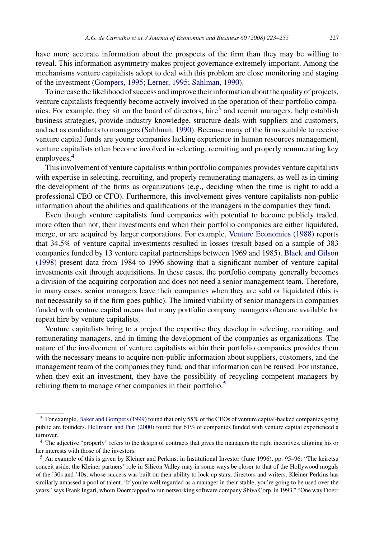have more accurate information about the prospects of the firm than they may be willing to reveal. This information asymmetry makes project governance extremely important. Among the mechanisms venture capitalists adopt to deal with this problem are close monitoring and staging of the investment ([Gompers, 1995;](#page-32-0) [Lerner, 1995;](#page-32-0) [Sahlman, 1990\).](#page-32-0)

To increase the likelihood of success and improve their information about the quality of projects, venture capitalists frequently become actively involved in the operation of their portfolio companies. For example, they sit on the board of directors, hire<sup>3</sup> and recruit managers, help establish business strategies, provide industry knowledge, structure deals with suppliers and customers, and act as confidants to managers [\(Sahlman, 1990\).](#page-32-0) Because many of the firms suitable to receive venture capital funds are young companies lacking experience in human resources management, venture capitalists often become involved in selecting, recruiting and properly remunerating key employees.<sup>4</sup>

This involvement of venture capitalists within portfolio companies provides venture capitalists with expertise in selecting, recruiting, and properly remunerating managers, as well as in timing the development of the firms as organizations (e.g., deciding when the time is right to add a professional CEO or CFO). Furthermore, this involvement gives venture capitalists non-public information about the abilities and qualifications of the managers in the companies they fund.

Even though venture capitalists fund companies with potential to become publicly traded, more often than not, their investments end when their portfolio companies are either liquidated, merge, or are acquired by larger corporations. For example, [Venture Economics \(1988\)](#page-32-0) reports that 34.5% of venture capital investments resulted in losses (result based on a sample of 383 companies funded by 13 venture capital partnerships between 1969 and 1985). [Black and Gilson](#page-32-0) [\(1998\)](#page-32-0) present data from 1984 to 1996 showing that a significant number of venture capital investments exit through acquisitions. In these cases, the portfolio company generally becomes a division of the acquiring corporation and does not need a senior management team. Therefore, in many cases, senior managers leave their companies when they are sold or liquidated (this is not necessarily so if the firm goes public). The limited viability of senior managers in companies funded with venture capital means that many portfolio company managers often are available for repeat hire by venture capitalists.

Venture capitalists bring to a project the expertise they develop in selecting, recruiting, and remunerating managers, and in timing the development of the companies as organizations. The nature of the involvement of venture capitalists within their portfolio companies provides them with the necessary means to acquire non-public information about suppliers, customers, and the management team of the companies they fund, and that information can be reused. For instance, when they exit an investment, they have the possibility of recycling competent managers by rehiring them to manage other companies in their portfolio.<sup>5</sup>

<sup>3</sup> For example, [Baker and Gompers \(1999\)](#page-32-0) found that only 55% of the CEOs of venture capital-backed companies going public are founders. [Hellmann and Puri \(2000\)](#page-32-0) found that 61% of companies funded with venture capital experienced a turnover.

<sup>4</sup> The adjective "properly" refers to the design of contracts that gives the managers the right incentives, aligning his or her interests with those of the investors.

<sup>5</sup> An example of this is given by Kleiner and Perkins, in Institutional Investor (June 1996), pp. 95–96: "The keiretsu conceit aside, the Kleiner partners' role in Silicon Valley may in some ways be closer to that of the Hollywood moguls of the '30s and '40s, whose success was built on their ability to lock up stars, directors and writers. Kleiner Perkins has similarly amassed a pool of talent. 'If you're well regarded as a manager in their stable, you're going to be used over the years,' says Frank Ingari, whom Doerr tapped to run networking software company Shiva Corp. in 1993." "One way Doerr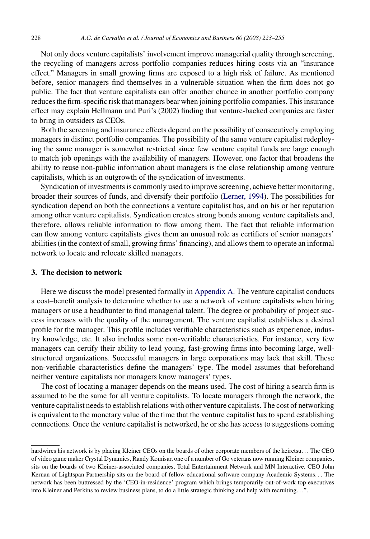<span id="page-5-0"></span>Not only does venture capitalists' involvement improve managerial quality through screening, the recycling of managers across portfolio companies reduces hiring costs via an "insurance effect." Managers in small growing firms are exposed to a high risk of failure. As mentioned before, senior managers find themselves in a vulnerable situation when the firm does not go public. The fact that venture capitalists can offer another chance in another portfolio company reduces the firm-specific risk that managers bear when joining portfolio companies. This insurance effect may explain Hellmann and Puri's (2002) finding that venture-backed companies are faster to bring in outsiders as CEOs.

Both the screening and insurance effects depend on the possibility of consecutively employing managers in distinct portfolio companies. The possibility of the same venture capitalist redeploying the same manager is somewhat restricted since few venture capital funds are large enough to match job openings with the availability of managers. However, one factor that broadens the ability to reuse non-public information about managers is the close relationship among venture capitalists, which is an outgrowth of the syndication of investments.

Syndication of investments is commonly used to improve screening, achieve better monitoring, broader their sources of funds, and diversify their portfolio ([Lerner, 1994\).](#page-32-0) The possibilities for syndication depend on both the connections a venture capitalist has, and on his or her reputation among other venture capitalists. Syndication creates strong bonds among venture capitalists and, therefore, allows reliable information to flow among them. The fact that reliable information can flow among venture capitalists gives them an unusual role as certifiers of senior managers' abilities (in the context of small, growing firms' financing), and allows them to operate an informal network to locate and relocate skilled managers.

#### **3. The decision to network**

Here we discuss the model presented formally in [Appendix A.](#page-23-0) The venture capitalist conducts a cost–benefit analysis to determine whether to use a network of venture capitalists when hiring managers or use a headhunter to find managerial talent. The degree or probability of project success increases with the quality of the management. The venture capitalist establishes a desired profile for the manager. This profile includes verifiable characteristics such as experience, industry knowledge, etc. It also includes some non-verifiable characteristics. For instance, very few managers can certify their ability to lead young, fast-growing firms into becoming large, wellstructured organizations. Successful managers in large corporations may lack that skill. These non-verifiable characteristics define the managers' type. The model assumes that beforehand neither venture capitalists nor managers know managers' types.

The cost of locating a manager depends on the means used. The cost of hiring a search firm is assumed to be the same for all venture capitalists. To locate managers through the network, the venture capitalist needs to establish relations with other venture capitalists. The cost of networking is equivalent to the monetary value of the time that the venture capitalist has to spend establishing connections. Once the venture capitalist is networked, he or she has access to suggestions coming

hardwires his network is by placing Kleiner CEOs on the boards of other corporate members of the keiretsu... The CEO of video game maker Crystal Dynamics, Randy Komisar, one of a number of Go veterans now running Kleiner companies, sits on the boards of two Kleiner-associated companies, Total Entertainment Network and MN Interactive. CEO John Kernan of Lightspan Partnership sits on the board of fellow educational software company Academic Systems... The network has been buttressed by the 'CEO-in-residence' program which brings temporarily out-of-work top executives into Kleiner and Perkins to review business plans, to do a little strategic thinking and help with recruiting...".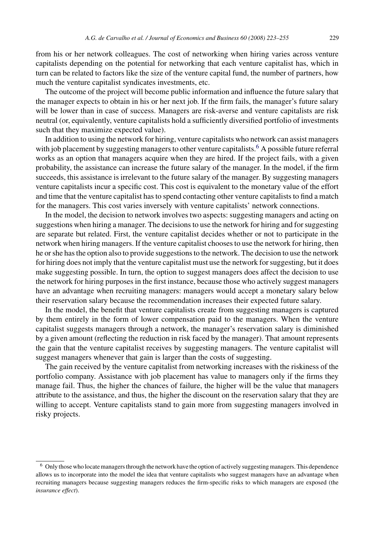from his or her network colleagues. The cost of networking when hiring varies across venture capitalists depending on the potential for networking that each venture capitalist has, which in turn can be related to factors like the size of the venture capital fund, the number of partners, how much the venture capitalist syndicates investments, etc.

The outcome of the project will become public information and influence the future salary that the manager expects to obtain in his or her next job. If the firm fails, the manager's future salary will be lower than in case of success. Managers are risk-averse and venture capitalists are risk neutral (or, equivalently, venture capitalists hold a sufficiently diversified portfolio of investments such that they maximize expected value).

In addition to using the network for hiring, venture capitalists who network can assist managers with job placement by suggesting managers to other venture capitalists.<sup>6</sup> A possible future referral works as an option that managers acquire when they are hired. If the project fails, with a given probability, the assistance can increase the future salary of the manager. In the model, if the firm succeeds, this assistance is irrelevant to the future salary of the manager. By suggesting managers venture capitalists incur a specific cost. This cost is equivalent to the monetary value of the effort and time that the venture capitalist has to spend contacting other venture capitalists to find a match for the managers. This cost varies inversely with venture capitalists' network connections.

In the model, the decision to network involves two aspects: suggesting managers and acting on suggestions when hiring a manager. The decisions to use the network for hiring and for suggesting are separate but related. First, the venture capitalist decides whether or not to participate in the network when hiring managers. If the venture capitalist chooses to use the network for hiring, then he or she has the option also to provide suggestions to the network. The decision to use the network for hiring does not imply that the venture capitalist must use the network for suggesting, but it does make suggesting possible. In turn, the option to suggest managers does affect the decision to use the network for hiring purposes in the first instance, because those who actively suggest managers have an advantage when recruiting managers: managers would accept a monetary salary below their reservation salary because the recommendation increases their expected future salary.

In the model, the benefit that venture capitalists create from suggesting managers is captured by them entirely in the form of lower compensation paid to the managers. When the venture capitalist suggests managers through a network, the manager's reservation salary is diminished by a given amount (reflecting the reduction in risk faced by the manager). That amount represents the gain that the venture capitalist receives by suggesting managers. The venture capitalist will suggest managers whenever that gain is larger than the costs of suggesting.

The gain received by the venture capitalist from networking increases with the riskiness of the portfolio company. Assistance with job placement has value to managers only if the firms they manage fail. Thus, the higher the chances of failure, the higher will be the value that managers attribute to the assistance, and thus, the higher the discount on the reservation salary that they are willing to accept. Venture capitalists stand to gain more from suggesting managers involved in risky projects.

<sup>6</sup> Only those who locate managers through the network have the option of actively suggesting managers. This dependence allows us to incorporate into the model the idea that venture capitalists who suggest managers have an advantage when recruiting managers because suggesting managers reduces the firm-specific risks to which managers are exposed (the *insurance effect*).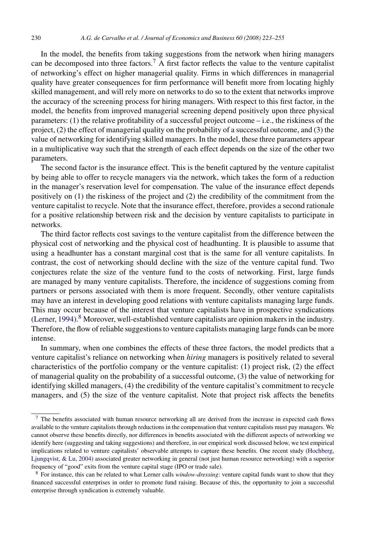In the model, the benefits from taking suggestions from the network when hiring managers can be decomposed into three factors.<sup>7</sup> A first factor reflects the value to the venture capitalist of networking's effect on higher managerial quality. Firms in which differences in managerial quality have greater consequences for firm performance will benefit more from locating highly skilled management, and will rely more on networks to do so to the extent that networks improve the accuracy of the screening process for hiring managers. With respect to this first factor, in the model, the benefits from improved managerial screening depend positively upon three physical parameters: (1) the relative profitability of a successful project outcome – i.e., the riskiness of the project, (2) the effect of managerial quality on the probability of a successful outcome, and (3) the value of networking for identifying skilled managers. In the model, these three parameters appear in a multiplicative way such that the strength of each effect depends on the size of the other two parameters.

The second factor is the insurance effect. This is the benefit captured by the venture capitalist by being able to offer to recycle managers via the network, which takes the form of a reduction in the manager's reservation level for compensation. The value of the insurance effect depends positively on (1) the riskiness of the project and (2) the credibility of the commitment from the venture capitalist to recycle. Note that the insurance effect, therefore, provides a second rationale for a positive relationship between risk and the decision by venture capitalists to participate in networks.

The third factor reflects cost savings to the venture capitalist from the difference between the physical cost of networking and the physical cost of headhunting. It is plausible to assume that using a headhunter has a constant marginal cost that is the same for all venture capitalists. In contrast, the cost of networking should decline with the size of the venture capital fund. Two conjectures relate the size of the venture fund to the costs of networking. First, large funds are managed by many venture capitalists. Therefore, the incidence of suggestions coming from partners or persons associated with them is more frequent. Secondly, other venture capitalists may have an interest in developing good relations with venture capitalists managing large funds. This may occur because of the interest that venture capitalists have in prospective syndications ([Lerner, 1994\).](#page-32-0) $8$  Moreover, well-established venture capitalists are opinion makers in the industry. Therefore, the flow of reliable suggestions to venture capitalists managing large funds can be more intense.

In summary, when one combines the effects of these three factors, the model predicts that a venture capitalist's reliance on networking when *hiring* managers is positively related to several characteristics of the portfolio company or the venture capitalist: (1) project risk, (2) the effect of managerial quality on the probability of a successful outcome, (3) the value of networking for identifying skilled managers, (4) the credibility of the venture capitalist's commitment to recycle managers, and (5) the size of the venture capitalist. Note that project risk affects the benefits

<sup>7</sup> The benefits associated with human resource networking all are derived from the increase in expected cash flows available to the venture capitalists through reductions in the compensation that venture capitalists must pay managers. We cannot observe these benefits directly, nor differences in benefits associated with the different aspects of networking we identify here (suggesting and taking suggestions) and therefore, in our empirical work discussed below, we test empirical implications related to venture capitalists' observable attempts to capture these benefits. One recent study ([Hochberg,](#page-32-0) [Ljungqvist, & Lu, 2004\)](#page-32-0) associated greater networking in general (not just human resource networking) with a superior frequency of "good" exits from the venture capital stage (IPO or trade sale).

<sup>8</sup> For instance, this can be related to what Lerner calls *window-dressing*: venture capital funds want to show that they financed successful enterprises in order to promote fund raising. Because of this, the opportunity to join a successful enterprise through syndication is extremely valuable.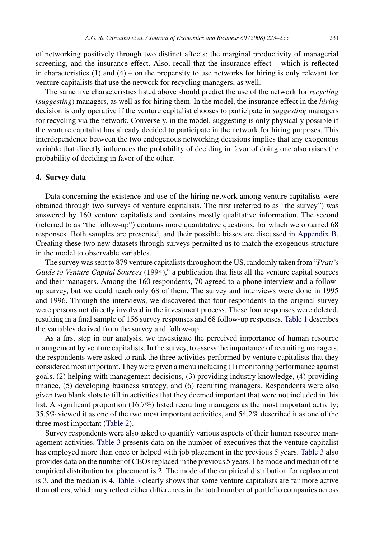<span id="page-8-0"></span>of networking positively through two distinct affects: the marginal productivity of managerial screening, and the insurance effect. Also, recall that the insurance effect – which is reflected in characteristics  $(1)$  and  $(4)$  – on the propensity to use networks for hiring is only relevant for venture capitalists that use the network for recycling managers, as well.

The same five characteristics listed above should predict the use of the network for *recycling* (*suggesting*) managers, as well as for hiring them. In the model, the insurance effect in the *hiring* decision is only operative if the venture capitalist chooses to participate in *suggesting* managers for recycling via the network. Conversely, in the model, suggesting is only physically possible if the venture capitalist has already decided to participate in the network for hiring purposes. This interdependence between the two endogenous networking decisions implies that any exogenous variable that directly influences the probability of deciding in favor of doing one also raises the probability of deciding in favor of the other.

#### **4. Survey data**

Data concerning the existence and use of the hiring network among venture capitalists were obtained through two surveys of venture capitalists. The first (referred to as "the survey") was answered by 160 venture capitalists and contains mostly qualitative information. The second (referred to as "the follow-up") contains more quantitative questions, for which we obtained 68 responses. Both samples are presented, and their possible biases are discussed in [Appendix B.](#page-26-0) Creating these two new datasets through surveys permitted us to match the exogenous structure in the model to observable variables.

The survey was sent to 879 venture capitalists throughout the US, randomly taken from "*Pratt's Guide to Venture Capital Sources* (1994)," a publication that lists all the venture capital sources and their managers. Among the 160 respondents, 70 agreed to a phone interview and a followup survey, but we could reach only 68 of them. The survey and interviews were done in 1995 and 1996. Through the interviews, we discovered that four respondents to the original survey were persons not directly involved in the investment process. These four responses were deleted, resulting in a final sample of 156 survey responses and 68 follow-up responses. [Table 1](#page-9-0) describes the variables derived from the survey and follow-up.

As a first step in our analysis, we investigate the perceived importance of human resource management by venture capitalists. In the survey, to assess the importance of recruiting managers, the respondents were asked to rank the three activities performed by venture capitalists that they considered most important. They were given a menu including (1) monitoring performance against goals, (2) helping with management decisions, (3) providing industry knowledge, (4) providing finance, (5) developing business strategy, and (6) recruiting managers. Respondents were also given two blank slots to fill in activities that they deemed important that were not included in this list. A significant proportion (16.7%) listed recruiting managers as the most important activity; 35.5% viewed it as one of the two most important activities, and 54.2% described it as one of the three most important ([Table 2\).](#page-10-0)

Survey respondents were also asked to quantify various aspects of their human resource management activities. [Table 3](#page-11-0) presents data on the number of executives that the venture capitalist has employed more than once or helped with job placement in the previous 5 years. [Table 3](#page-11-0) also provides data on the number of CEOs replaced in the previous 5 years. The mode and median of the empirical distribution for placement is 2. The mode of the empirical distribution for replacement is 3, and the median is 4. [Table 3](#page-11-0) clearly shows that some venture capitalists are far more active than others, which may reflect either differences in the total number of portfolio companies across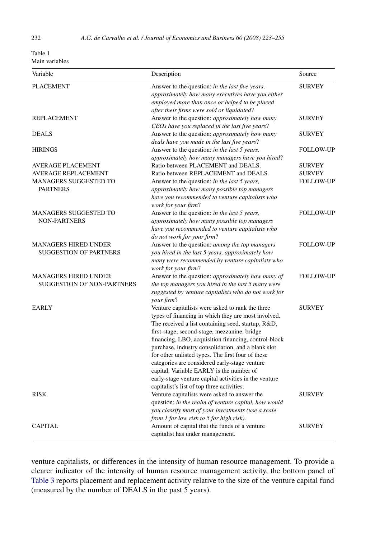<span id="page-9-0"></span>Table 1 Main variables

| Variable                                                                                                  | Description                                                                                                                                                                                                                                                                                                                                                                                                                                                                                                                                                                          | Source                                             |
|-----------------------------------------------------------------------------------------------------------|--------------------------------------------------------------------------------------------------------------------------------------------------------------------------------------------------------------------------------------------------------------------------------------------------------------------------------------------------------------------------------------------------------------------------------------------------------------------------------------------------------------------------------------------------------------------------------------|----------------------------------------------------|
| <b>PLACEMENT</b>                                                                                          | Answer to the question: in the last five years,<br>approximately how many executives have you either<br>employed more than once or helped to be placed<br>after their firms were sold or liquidated?                                                                                                                                                                                                                                                                                                                                                                                 | <b>SURVEY</b>                                      |
| <b>REPLACEMENT</b>                                                                                        | Answer to the question: approximately how many<br>CEOs have you replaced in the last five years?                                                                                                                                                                                                                                                                                                                                                                                                                                                                                     | <b>SURVEY</b>                                      |
| <b>DEALS</b>                                                                                              | Answer to the question: approximately how many<br>deals have you made in the last five years?                                                                                                                                                                                                                                                                                                                                                                                                                                                                                        | <b>SURVEY</b>                                      |
| <b>HIRINGS</b>                                                                                            | Answer to the question: in the last 5 years,<br>approximately how many managers have you hired?                                                                                                                                                                                                                                                                                                                                                                                                                                                                                      | <b>FOLLOW-UP</b>                                   |
| <b>AVERAGE PLACEMENT</b><br><b>AVERAGE REPLACEMENT</b><br><b>MANAGERS SUGGESTED TO</b><br><b>PARTNERS</b> | Ratio between PLACEMENT and DEALS.<br>Ratio between REPLACEMENT and DEALS.<br>Answer to the question: in the last 5 years,<br>approximately how many possible top managers<br>have you recommended to venture capitalists who<br>work for your firm?                                                                                                                                                                                                                                                                                                                                 | <b>SURVEY</b><br><b>SURVEY</b><br><b>FOLLOW-UP</b> |
| <b>MANAGERS SUGGESTED TO</b><br><b>NON-PARTNERS</b>                                                       | Answer to the question: in the last 5 years,<br>approximately how many possible top managers<br>have you recommended to venture capitalists who<br>do not work for your firm?                                                                                                                                                                                                                                                                                                                                                                                                        | <b>FOLLOW-UP</b>                                   |
| <b>MANAGERS HIRED UNDER</b><br><b>SUGGESTION OF PARTNERS</b>                                              | Answer to the question: among the top managers<br>you hired in the last 5 years, approximately how<br>many were recommended by venture capitalists who<br>work for your firm?                                                                                                                                                                                                                                                                                                                                                                                                        | <b>FOLLOW-UP</b>                                   |
| MANAGERS HIRED UNDER<br><b>SUGGESTION OF NON-PARTNERS</b>                                                 | Answer to the question: approximately how many of<br>the top managers you hired in the last 5 many were<br>suggested by venture capitalists who do not work for<br>your firm?                                                                                                                                                                                                                                                                                                                                                                                                        | <b>FOLLOW-UP</b>                                   |
| <b>EARLY</b>                                                                                              | Venture capitalists were asked to rank the three<br>types of financing in which they are most involved.<br>The received a list containing seed, startup, R&D,<br>first-stage, second-stage, mezzanine, bridge<br>financing, LBO, acquisition financing, control-block<br>purchase, industry consolidation, and a blank slot<br>for other unlisted types. The first four of these<br>categories are considered early-stage venture<br>capital. Variable EARLY is the number of<br>early-stage venture capital activities in the venture<br>capitalist's list of top three activities. | <b>SURVEY</b>                                      |
| <b>RISK</b>                                                                                               | Venture capitalists were asked to answer the<br>question: in the realm of venture capital, how would<br>you classify most of your investments (use a scale                                                                                                                                                                                                                                                                                                                                                                                                                           | <b>SURVEY</b>                                      |
| <b>CAPITAL</b>                                                                                            | from 1 for low risk to 5 for high risk).<br>Amount of capital that the funds of a venture<br>capitalist has under management.                                                                                                                                                                                                                                                                                                                                                                                                                                                        | <b>SURVEY</b>                                      |

venture capitalists, or differences in the intensity of human resource management. To provide a clearer indicator of the intensity of human resource management activity, the bottom panel of [Table 3](#page-11-0) reports placement and replacement activity relative to the size of the venture capital fund (measured by the number of DEALS in the past 5 years).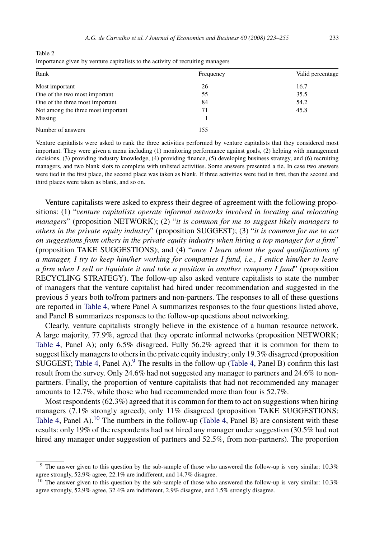| Rank                               | Frequency | Valid percentage |
|------------------------------------|-----------|------------------|
| Most important                     | 26        | 16.7             |
| One of the two most important      | 55        | 35.5             |
| One of the three most important    | 84        | 54.2             |
| Not among the three most important | 71        | 45.8             |
| Missing                            |           |                  |
| Number of answers                  | 155       |                  |

<span id="page-10-0"></span>Table 2

Importance given by venture capitalists to the activity of recruiting managers

Venture capitalists were asked to rank the three activities performed by venture capitalists that they considered most important. They were given a menu including (1) monitoring performance against goals, (2) helping with management decisions, (3) providing industry knowledge, (4) providing finance, (5) developing business strategy, and (6) recruiting managers, and two blank slots to complete with unlisted activities. Some answers presented a tie. In case two answers were tied in the first place, the second place was taken as blank. If three activities were tied in first, then the second and third places were taken as blank, and so on.

Venture capitalists were asked to express their degree of agreement with the following propositions: (1) "*venture capitalists operate informal networks involved in locating and relocating managers*" (proposition NETWORK); (2) "*it is common for me to suggest likely managers to others in the private equity industry*" (proposition SUGGEST); (3) "*it is common for me to act on suggestions from others in the private equity industry when hiring a top manager for a firm*" (proposition TAKE SUGGESTIONS); and (4) "*once I learn about the good qualifications of a manager, I try to keep him/her working for companies I fund, i.e., I entice him/her to leave a firm when I sell or liquidate it and take a position in another company I fund*" (proposition RECYCLING STRATEGY). The follow-up also asked venture capitalists to state the number of managers that the venture capitalist had hired under recommendation and suggested in the previous 5 years both to/from partners and non-partners. The responses to all of these questions are reported in [Table 4,](#page-12-0) where Panel A summarizes responses to the four questions listed above, and Panel B summarizes responses to the follow-up questions about networking.

Clearly, venture capitalists strongly believe in the existence of a human resource network. A large majority, 77.9%, agreed that they operate informal networks (proposition NETWORK; [Table 4,](#page-12-0) Panel A); only 6.5% disagreed. Fully 56.2% agreed that it is common for them to suggest likely managers to others in the private equity industry; only 19.3% disagreed (proposition SUGGEST; [Table 4,](#page-12-0) Panel A).<sup>9</sup> The results in the follow-up [\(Table 4, P](#page-12-0)anel B) confirm this last result from the survey. Only 24.6% had not suggested any manager to partners and 24.6% to nonpartners. Finally, the proportion of venture capitalists that had not recommended any manager amounts to 12.7%, while those who had recommended more than four is 52.7%.

Most respondents  $(62.3\%)$  agreed that it is common for them to act on suggestions when hiring managers (7.1% strongly agreed); only 11% disagreed (proposition TAKE SUGGESTIONS; [Table 4,](#page-12-0) Panel A).<sup>10</sup> The numbers in the follow-up (Table 4, Panel B) are consistent with these results: only 19% of the respondents had not hired any manager under suggestion (30.5% had not hired any manager under suggestion of partners and 52.5%, from non-partners). The proportion

<sup>&</sup>lt;sup>9</sup> The answer given to this question by the sub-sample of those who answered the follow-up is very similar: 10.3% agree strongly, 52.9% agree, 22.1% are indifferent, and 14.7% disagree.

<sup>&</sup>lt;sup>10</sup> The answer given to this question by the sub-sample of those who answered the follow-up is very similar:  $10.3\%$ agree strongly, 52.9% agree, 32.4% are indifferent, 2.9% disagree, and 1.5% strongly disagree.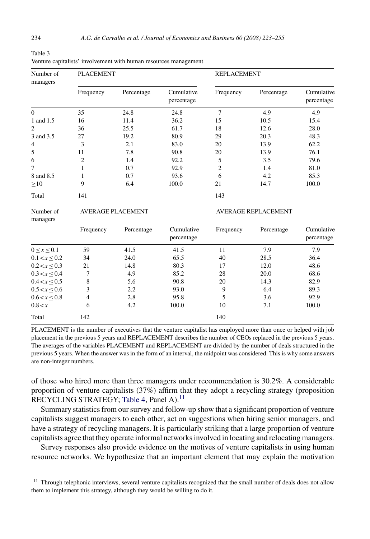| Number of<br>managers | <b>PLACEMENT</b> |                          |                          | <b>REPLACEMENT</b> |                            |                          |  |  |
|-----------------------|------------------|--------------------------|--------------------------|--------------------|----------------------------|--------------------------|--|--|
|                       | Frequency        | Percentage               | Cumulative<br>percentage | Frequency          | Percentage                 | Cumulative<br>percentage |  |  |
| $\overline{0}$        | 35               | 24.8                     | 24.8                     | 7                  | 4.9                        | 4.9                      |  |  |
| 1 and 1.5             | 16               | 11.4                     | 36.2                     | 15                 | 10.5                       | 15.4                     |  |  |
| $\overline{2}$        | 36               | 25.5                     | 61.7                     | 18                 | 12.6                       | 28.0                     |  |  |
| 3 and 3.5             | 27               | 19.2                     | 80.9                     | 29                 | 20.3                       | 48.3                     |  |  |
| 4                     | 3                | 2.1                      | 83.0                     | 20                 | 13.9                       | 62.2                     |  |  |
| 5                     | 11               | 7.8                      | 90.8                     | 20                 | 13.9                       | 76.1                     |  |  |
| 6                     | $\overline{2}$   | 1.4                      | 92.2                     | 5                  | 3.5                        | 79.6                     |  |  |
| 7                     | 1                | 0.7                      | 92.9                     | $\overline{c}$     | 1.4                        | 81.0                     |  |  |
| 8 and 8.5             | 1                | 0.7                      | 93.6                     | 6                  | 4.2                        | 85.3                     |  |  |
| $\geq 10$             | 9                | 6.4                      | 100.0                    | 21                 | 14.7                       | 100.0                    |  |  |
| Total                 | 141              |                          |                          | 143                |                            |                          |  |  |
| Number of<br>managers |                  | <b>AVERAGE PLACEMENT</b> |                          |                    | <b>AVERAGE REPLACEMENT</b> |                          |  |  |
|                       | Frequency        | Percentage               | Cumulative<br>percentage | Frequency          | Percentage                 | Cumulative<br>percentage |  |  |
| $0 \leq x \leq 0.1$   | 59               | 41.5                     | 41.5                     | 11                 | 7.9                        | 7.9                      |  |  |
| $0.1 < x \leq 0.2$    | 34               | 24.0                     | 65.5                     | 40                 | 28.5                       | 36.4                     |  |  |
| 0.2 < x < 0.3         | 21               | 14.8                     | 80.3                     | 17                 | 12.0                       | 48.6                     |  |  |
| 0.3 < x < 0.4         | 7                | 4.9                      | 85.2                     | 28                 | 20.0                       | 68.6                     |  |  |
| $0.4 < x \leq 0.5$    | 8                | 5.6                      | 90.8                     | 20                 | 14.3                       | 82.9                     |  |  |
| 0.5 < x < 0.6         | 3                | 2.2                      | 93.0                     | 9                  | 6.4                        | 89.3                     |  |  |
| 0.6 < x < 0.8         | 4                | 2.8                      | 95.8                     | 5                  | 3.6                        | 92.9                     |  |  |
| 0.8 < x               | 6                | 4.2                      | 100.0                    | 10                 | 7.1                        | 100.0                    |  |  |
| Total                 | 142              |                          |                          | 140                |                            |                          |  |  |

<span id="page-11-0"></span>

| Table 3                                                          |  |
|------------------------------------------------------------------|--|
| Venture capitalists' involvement with human resources management |  |

PLACEMENT is the number of executives that the venture capitalist has employed more than once or helped with job placement in the previous 5 years and REPLACEMENT describes the number of CEOs replaced in the previous 5 years. The averages of the variables PLACEMENT and REPLACEMENT are divided by the number of deals structured in the previous 5 years. When the answer was in the form of an interval, the midpoint was considered. This is why some answers are non-integer numbers.

of those who hired more than three managers under recommendation is 30.2%. A considerable proportion of venture capitalists (37%) affirm that they adopt a recycling strategy (proposition RECYCLING STRATEGY; [Table 4, P](#page-12-0)anel A).<sup>11</sup>

Summary statistics from our survey and follow-up show that a significant proportion of venture capitalists suggest managers to each other, act on suggestions when hiring senior managers, and have a strategy of recycling managers. It is particularly striking that a large proportion of venture capitalists agree that they operate informal networks involved in locating and relocating managers.

Survey responses also provide evidence on the motives of venture capitalists in using human resource networks. We hypothesize that an important element that may explain the motivation

<sup>&</sup>lt;sup>11</sup> Through telephonic interviews, several venture capitalists recognized that the small number of deals does not allow them to implement this strategy, although they would be willing to do it.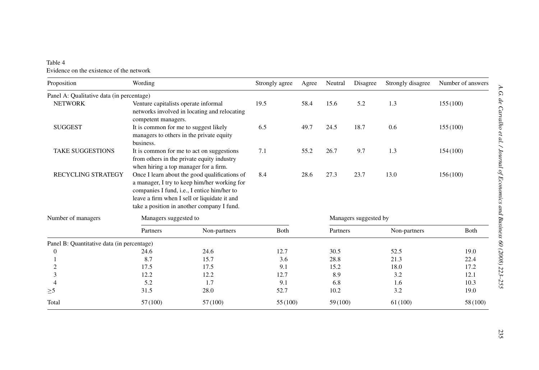## <span id="page-12-0"></span>Table 4 Evidence on the existence of the network

| Proposition                                | Wording                                                     |                                                                                                                                                                                                                                            | Strongly agree | Agree | Neutral  | Disagree              | Strongly disagree | Number of answers |
|--------------------------------------------|-------------------------------------------------------------|--------------------------------------------------------------------------------------------------------------------------------------------------------------------------------------------------------------------------------------------|----------------|-------|----------|-----------------------|-------------------|-------------------|
| Panel A: Qualitative data (in percentage)  |                                                             |                                                                                                                                                                                                                                            |                |       |          |                       |                   |                   |
| <b>NETWORK</b>                             | Venture capitalists operate informal<br>competent managers. | networks involved in locating and relocating                                                                                                                                                                                               | 19.5           | 58.4  | 15.6     | 5.2                   | 1.3               | 155(100)          |
| <b>SUGGEST</b>                             | It is common for me to suggest likely<br>business.          | managers to others in the private equity                                                                                                                                                                                                   | 6.5            | 49.7  | 24.5     | 18.7                  | 0.6               | 155(100)          |
| <b>TAKE SUGGESTIONS</b>                    | when hiring a top manager for a firm.                       | It is common for me to act on suggestions<br>from others in the private equity industry                                                                                                                                                    | 7.1            | 55.2  | 26.7     | 9.7                   | 1.3               | 154(100)          |
| RECYCLING STRATEGY                         |                                                             | Once I learn about the good qualifications of<br>a manager, I try to keep him/her working for<br>companies I fund, i.e., I entice him/her to<br>leave a firm when I sell or liquidate it and<br>take a position in another company I fund. | 8.4            | 28.6  | 27.3     | 23.7                  | 13.0              | 156(100)          |
| Number of managers                         | Managers suggested to                                       |                                                                                                                                                                                                                                            |                |       |          | Managers suggested by |                   |                   |
|                                            | Partners                                                    | Non-partners                                                                                                                                                                                                                               | Both           |       | Partners |                       | Non-partners      | Both              |
| Panel B: Quantitative data (in percentage) |                                                             |                                                                                                                                                                                                                                            |                |       |          |                       |                   |                   |
| $\boldsymbol{0}$                           | 24.6                                                        | 24.6                                                                                                                                                                                                                                       | 12.7           |       | 30.5     |                       | 52.5              | 19.0              |
|                                            | 8.7                                                         | 15.7                                                                                                                                                                                                                                       | 3.6            |       | 28.8     |                       | 21.3              | 22.4              |
| 2                                          | 17.5                                                        | 17.5                                                                                                                                                                                                                                       | 9.1            |       | 15.2     |                       | 18.0              | 17.2              |
| 3                                          | 12.2                                                        | 12.2                                                                                                                                                                                                                                       | 12.7           |       | 8.9      |                       | 3.2               | 12.1              |
|                                            | 5.2                                                         | 1.7                                                                                                                                                                                                                                        | 9.1            |       | 6.8      |                       | 1.6               | 10.3              |
| $\geq 5$                                   | 31.5                                                        | 28.0                                                                                                                                                                                                                                       | 52.7           |       | 10.2     |                       | 3.2               | 19.0              |
| Total                                      | 57(100)                                                     | 57(100)                                                                                                                                                                                                                                    | 55 (100)       |       | 59(100)  |                       | 61 (100)          | 58 (100)          |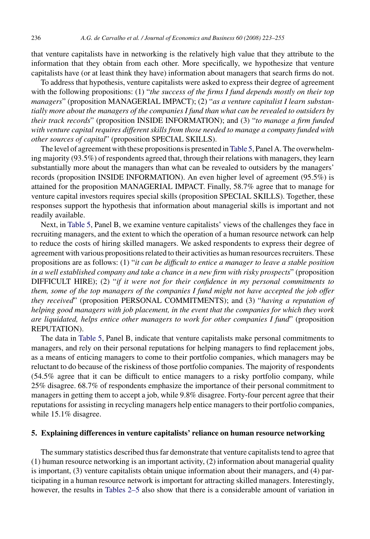<span id="page-13-0"></span>that venture capitalists have in networking is the relatively high value that they attribute to the information that they obtain from each other. More specifically, we hypothesize that venture capitalists have (or at least think they have) information about managers that search firms do not.

To address that hypothesis, venture capitalists were asked to express their degree of agreement with the following propositions: (1) "*the success of the firms I fund depends mostly on their top managers*" (proposition MANAGERIAL IMPACT); (2) "*as a venture capitalist I learn substantially more about the managers of the companies I fund than what can be revealed to outsiders by their track records*" (proposition INSIDE INFORMATION); and (3) "*to manage a firm funded with venture capital requires different skills from those needed to manage a company funded with other sources of capital*" (proposition SPECIAL SKILLS).

The level of agreement with these propositions is presented in [Table 5, P](#page-14-0)anel A. The overwhelming majority (93.5%) of respondents agreed that, through their relations with managers, they learn substantially more about the managers than what can be revealed to outsiders by the managers' records (proposition INSIDE INFORMATION). An even higher level of agreement (95.5%) is attained for the proposition MANAGERIAL IMPACT. Finally, 58.7% agree that to manage for venture capital investors requires special skills (proposition SPECIAL SKILLS). Together, these responses support the hypothesis that information about managerial skills is important and not readily available.

Next, in [Table 5, P](#page-14-0)anel B, we examine venture capitalists' views of the challenges they face in recruiting managers, and the extent to which the operation of a human resource network can help to reduce the costs of hiring skilled managers. We asked respondents to express their degree of agreement with various propositions related to their activities as human resources recruiters. These propositions are as follows: (1) "*it can be difficult to entice a manager to leave a stable position in a well established company and take a chance in a new firm with risky prospects*" (proposition DIFFICULT HIRE); (2) "*if it were not for their confidence in my personal commitments to them, some of the top managers of the companies I fund might not have accepted the job offer they received*" (proposition PERSONAL COMMITMENTS); and (3) "*having a reputation of helping good managers with job placement, in the event that the companies for which they work are liquidated, helps entice other managers to work for other companies I fund*" (proposition REPUTATION).

The data in [Table 5, P](#page-14-0)anel B, indicate that venture capitalists make personal commitments to managers, and rely on their personal reputations for helping managers to find replacement jobs, as a means of enticing managers to come to their portfolio companies, which managers may be reluctant to do because of the riskiness of those portfolio companies. The majority of respondents (54.5% agree that it can be difficult to entice managers to a risky portfolio company, while 25% disagree. 68.7% of respondents emphasize the importance of their personal commitment to managers in getting them to accept a job, while 9.8% disagree. Forty-four percent agree that their reputations for assisting in recycling managers help entice managers to their portfolio companies, while 15.1% disagree.

## **5. Explaining differences in venture capitalists' reliance on human resource networking**

The summary statistics described thus far demonstrate that venture capitalists tend to agree that (1) human resource networking is an important activity, (2) information about managerial quality is important, (3) venture capitalists obtain unique information about their managers, and (4) participating in a human resource network is important for attracting skilled managers. Interestingly, however, the results in [Tables 2–5](#page-10-0) also show that there is a considerable amount of variation in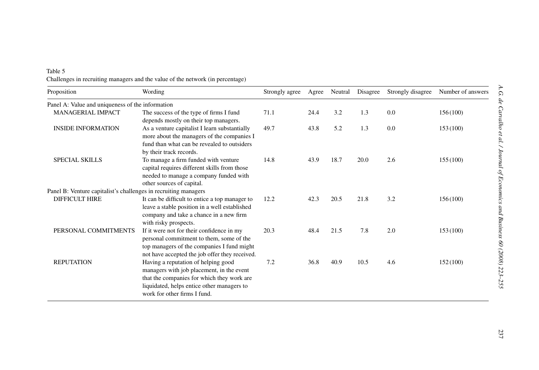| Proposition                                                     | Wording                                                             | Strongly agree | Agree | Neutral | Disagree | Strongly disagree | Number of answers |
|-----------------------------------------------------------------|---------------------------------------------------------------------|----------------|-------|---------|----------|-------------------|-------------------|
| Panel A: Value and uniqueness of the information                |                                                                     |                |       |         |          |                   |                   |
| <b>MANAGERIAL IMPACT</b>                                        | The success of the type of firms I fund                             | 71.1           | 24.4  | 3.2     | 1.3      | 0.0               | 156(100)          |
|                                                                 | depends mostly on their top managers.                               |                |       |         |          |                   |                   |
| <b>INSIDE INFORMATION</b>                                       | As a venture capitalist I learn substantially                       | 49.7           | 43.8  | 5.2     | 1.3      | 0.0               | 153(100)          |
|                                                                 | more about the managers of the companies I                          |                |       |         |          |                   |                   |
|                                                                 | fund than what can be revealed to outsiders                         |                |       |         |          |                   |                   |
|                                                                 | by their track records.                                             |                |       |         |          |                   |                   |
| <b>SPECIAL SKILLS</b>                                           | To manage a firm funded with venture                                | 14.8           | 43.9  | 18.7    | 20.0     | 2.6               | 155(100)          |
|                                                                 | capital requires different skills from those                        |                |       |         |          |                   |                   |
|                                                                 | needed to manage a company funded with<br>other sources of capital. |                |       |         |          |                   |                   |
| Panel B: Venture capitalist's challenges in recruiting managers |                                                                     |                |       |         |          |                   |                   |
| <b>DIFFICULT HIRE</b>                                           | It can be difficult to entice a top manager to                      | 12.2           | 42.3  | 20.5    | 21.8     | 3.2               | 156(100)          |
|                                                                 | leave a stable position in a well established                       |                |       |         |          |                   |                   |
|                                                                 | company and take a chance in a new firm                             |                |       |         |          |                   |                   |
|                                                                 | with risky prospects.                                               |                |       |         |          |                   |                   |
| PERSONAL COMMITMENTS                                            | If it were not for their confidence in my                           | 20.3           | 48.4  | 21.5    | 7.8      | 2.0               | 153(100)          |
|                                                                 | personal commitment to them, some of the                            |                |       |         |          |                   |                   |
|                                                                 | top managers of the companies I fund might                          |                |       |         |          |                   |                   |
|                                                                 | not have accepted the job offer they received.                      |                |       |         |          |                   |                   |
| <b>REPUTATION</b>                                               | Having a reputation of helping good                                 | 7.2            | 36.8  | 40.9    | 10.5     | 4.6               | 152(100)          |
|                                                                 | managers with job placement, in the event                           |                |       |         |          |                   |                   |
|                                                                 | that the companies for which they work are                          |                |       |         |          |                   |                   |
|                                                                 | liquidated, helps entice other managers to                          |                |       |         |          |                   |                   |
|                                                                 | work for other firms I fund.                                        |                |       |         |          |                   |                   |

## <span id="page-14-0"></span>Table 5Challenges in recruiting managers and the value of the network (in percentage)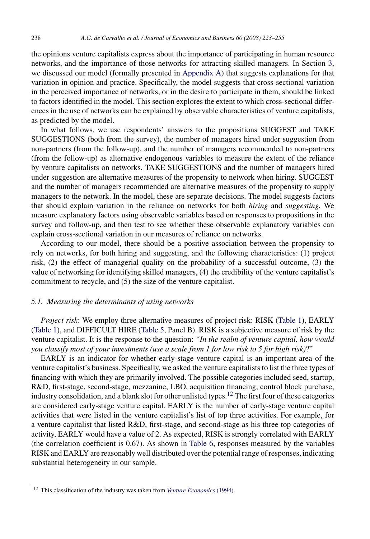the opinions venture capitalists express about the importance of participating in human resource networks, and the importance of those networks for attracting skilled managers. In Section [3,](#page-5-0) we discussed our model (formally presented in [Appendix A\)](#page-23-0) that suggests explanations for that variation in opinion and practice. Specifically, the model suggests that cross-sectional variation in the perceived importance of networks, or in the desire to participate in them, should be linked to factors identified in the model. This section explores the extent to which cross-sectional differences in the use of networks can be explained by observable characteristics of venture capitalists, as predicted by the model.

In what follows, we use respondents' answers to the propositions SUGGEST and TAKE SUGGESTIONS (both from the survey), the number of managers hired under suggestion from non-partners (from the follow-up), and the number of managers recommended to non-partners (from the follow-up) as alternative endogenous variables to measure the extent of the reliance by venture capitalists on networks. TAKE SUGGESTIONS and the number of managers hired under suggestion are alternative measures of the propensity to network when hiring. SUGGEST and the number of managers recommended are alternative measures of the propensity to supply managers to the network. In the model, these are separate decisions. The model suggests factors that should explain variation in the reliance on networks for both *hiring* and *suggesting.* We measure explanatory factors using observable variables based on responses to propositions in the survey and follow-up, and then test to see whether these observable explanatory variables can explain cross-sectional variation in our measures of reliance on networks.

According to our model, there should be a positive association between the propensity to rely on networks, for both hiring and suggesting, and the following characteristics: (1) project risk, (2) the effect of managerial quality on the probability of a successful outcome, (3) the value of networking for identifying skilled managers, (4) the credibility of the venture capitalist's commitment to recycle, and (5) the size of the venture capitalist.

#### *5.1. Measuring the determinants of using networks*

*Project risk*: We employ three alternative measures of project risk: RISK [\(Table 1\),](#page-9-0) EARLY ([Table 1\),](#page-9-0) and DIFFICULT HIRE [\(Table 5,](#page-14-0) Panel B). RISK is a subjective measure of risk by the venture capitalist. It is the response to the question: *"In the realm of venture capital, how would you classify most of your investments (use a scale from 1 for low risk to 5 for high risk)*?"

EARLY is an indicator for whether early-stage venture capital is an important area of the venture capitalist's business. Specifically, we asked the venture capitalists to list the three types of financing with which they are primarily involved. The possible categories included seed, startup, R&D, first-stage, second-stage, mezzanine, LBO, acquisition financing, control block purchase, industry consolidation, and a blank slot for other unlisted types.12 The first four of these categories are considered early-stage venture capital. EARLY is the number of early-stage venture capital activities that were listed in the venture capitalist's list of top three activities. For example, for a venture capitalist that listed R&D, first-stage, and second-stage as his three top categories of activity, EARLY would have a value of 2. As expected, RISK is strongly correlated with EARLY (the correlation coefficient is 0.67). As shown in [Table 6,](#page-16-0) responses measured by the variables RISK and EARLY are reasonably well distributed over the potential range of responses, indicating substantial heterogeneity in our sample.

<sup>12</sup> This classification of the industry was taken from *[Venture Economics](#page-32-0)* [\(1994\).](#page-32-0)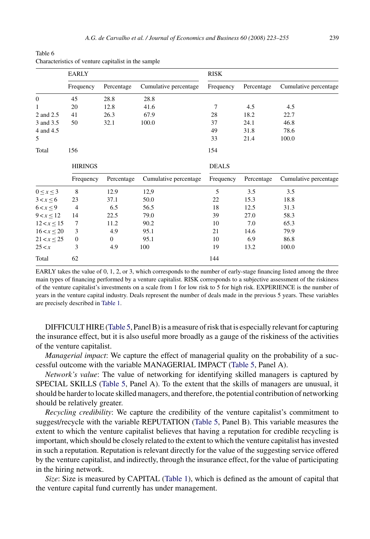<span id="page-16-0"></span>Table 6 Characteristics of venture capitalist in the sample

|                   | EARLY           |            |                       | <b>RISK</b>  |            |                       |
|-------------------|-----------------|------------|-----------------------|--------------|------------|-----------------------|
|                   | Frequency       | Percentage | Cumulative percentage | Frequency    | Percentage | Cumulative percentage |
| $\theta$          | 45              | 28.8       | 28.8                  |              |            |                       |
| 1                 | 20              | 12.8       | 41.6                  | $\tau$       | 4.5        | 4.5                   |
| 2 and 2.5         | 41              | 26.3       | 67.9                  | 28           | 18.2       | 22.7                  |
| 3 and 3.5         | 50              | 32.1       | 100.0                 | 37           | 24.1       | 46.8                  |
| 4 and 4.5         |                 |            |                       | 49           | 31.8       | 78.6                  |
| 5                 |                 |            |                       | 33           | 21.4       | 100.0                 |
| Total             | 156             |            |                       | 154          |            |                       |
|                   | <b>HIRINGS</b>  |            |                       | <b>DEALS</b> |            |                       |
|                   | Frequency       | Percentage | Cumulative percentage | Frequency    | Percentage | Cumulative percentage |
| $0 \leq x \leq 3$ | 8               | 12.9       | 12,9                  | 5            | 3.5        | 3.5                   |
| $3 < x \le 6$     | 23              | 37.1       | 50.0                  | 22           | 15.3       | 18.8                  |
| $6 < x \leq 9$    | $\overline{4}$  | 6.5        | 56.5                  | 18           | 12.5       | 31.3                  |
| $9 < x \le 12$    | 14              | 22.5       | 79.0                  | 39           | 27.0       | 58.3                  |
| $12 < x \le 15$   | $7\phantom{.0}$ | 11.2       | 90.2                  | 10           | 7.0        | 65.3                  |
| $16 < x \le 20$   | 3               | 4.9        | 95.1                  | 21           | 14.6       | 79.9                  |
| $21 < x \le 25$   | $\mathbf{0}$    | $\Omega$   | 95.1                  | 10           | 6.9        | 86.8                  |
| 25 < x            | 3               | 4.9        | 100                   | 19           | 13.2       | 100.0                 |
| Total             | 62              |            |                       | 144          |            |                       |

EARLY takes the value of 0, 1, 2, or 3, which corresponds to the number of early-stage financing listed among the three main types of financing performed by a venture capitalist. RISK corresponds to a subjective assessment of the riskiness of the venture capitalist's investments on a scale from 1 for low risk to 5 for high risk. EXPERIENCE is the number of years in the venture capital industry. Deals represent the number of deals made in the previous 5 years. These variables are precisely described in [Table 1.](#page-9-0)

DIFFICULT HIRE [\(Table 5, P](#page-14-0)anel B) is a measure of risk that is especially relevant for capturing the insurance effect, but it is also useful more broadly as a gauge of the riskiness of the activities of the venture capitalist.

*Managerial impact*: We capture the effect of managerial quality on the probability of a successful outcome with the variable MANAGERIAL IMPACT [\(Table 5,](#page-14-0) Panel A).

*Network's value*: The value of networking for identifying skilled managers is captured by SPECIAL SKILLS ([Table 5,](#page-14-0) Panel A). To the extent that the skills of managers are unusual, it should be harder to locate skilled managers, and therefore, the potential contribution of networking should be relatively greater.

*Recycling credibility*: We capture the credibility of the venture capitalist's commitment to suggest/recycle with the variable REPUTATION ([Table 5,](#page-14-0) Panel B). This variable measures the extent to which the venture capitalist believes that having a reputation for credible recycling is important, which should be closely related to the extent to which the venture capitalist has invested in such a reputation. Reputation is relevant directly for the value of the suggesting service offered by the venture capitalist, and indirectly, through the insurance effect, for the value of participating in the hiring network.

*Size*: Size is measured by CAPITAL [\(Table 1\),](#page-9-0) which is defined as the amount of capital that the venture capital fund currently has under management.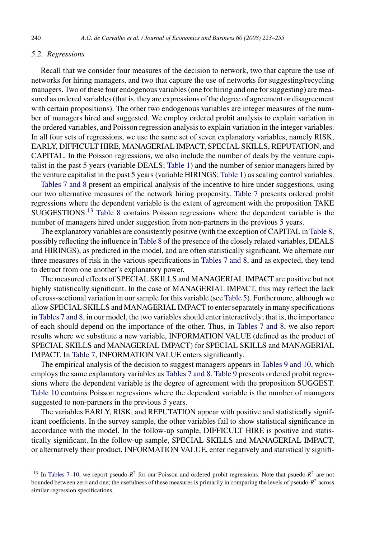#### *5.2. Regressions*

Recall that we consider four measures of the decision to network, two that capture the use of networks for hiring managers, and two that capture the use of networks for suggesting/recycling managers. Two of these four endogenous variables (one for hiring and one for suggesting) are measured as ordered variables (that is, they are expressions of the degree of agreement or disagreement with certain propositions). The other two endogenous variables are integer measures of the number of managers hired and suggested. We employ ordered probit analysis to explain variation in the ordered variables, and Poisson regression analysis to explain variation in the integer variables. In all four sets of regressions, we use the same set of seven explanatory variables, namely RISK, EARLY, DIFFICULT HIRE, MANAGERIAL IMPACT, SPECIAL SKILLS, REPUTATION, and CAPITAL. In the Poisson regressions, we also include the number of deals by the venture capitalist in the past 5 years (variable DEALS; [Table 1\)](#page-9-0) and the number of senior managers hired by the venture capitalist in the past 5 years (variable HIRINGS; [Table 1\) a](#page-9-0)s scaling control variables.

[Tables 7 and 8](#page-18-0) present an empirical analysis of the incentive to hire under suggestions, using our two alternative measures of the network hiring propensity. [Table 7](#page-18-0) presents ordered probit regressions where the dependent variable is the extent of agreement with the proposition TAKE SUGGESTIONS.<sup>13</sup> [Table 8](#page-19-0) contains Poisson regressions where the dependent variable is the number of managers hired under suggestion from non-partners in the previous 5 years.

The explanatory variables are consistently positive (with the exception of CAPITAL in [Table 8,](#page-19-0) possibly reflecting the influence in [Table 8](#page-19-0) of the presence of the closely related variables, DEALS and HIRINGS), as predicted in the model, and are often statistically significant. We alternate our three measures of risk in the various specifications in [Tables 7 and 8,](#page-18-0) and as expected, they tend to detract from one another's explanatory power.

The measured effects of SPECIAL SKILLS and MANAGERIAL IMPACT are positive but not highly statistically significant. In the case of MANAGERIAL IMPACT, this may reflect the lack of cross-sectional variation in our sample for this variable (see [Table 5\).](#page-14-0) Furthermore, although we allow SPECIAL SKILLS and MANAGERIAL IMPACT to enter separately in many specifications in [Tables 7 and 8, in](#page-18-0) our model, the two variables should enter interactively; that is, the importance of each should depend on the importance of the other. Thus, in [Tables 7 and 8,](#page-18-0) we also report results where we substitute a new variable, INFORMATION VALUE (defined as the product of SPECIAL SKILLS and MANAGERIAL IMPACT) for SPECIAL SKILLS and MANAGERIAL IMPACT. In [Table 7,](#page-18-0) INFORMATION VALUE enters significantly.

The empirical analysis of the decision to suggest managers appears in [Tables 9 and 10, w](#page-20-0)hich employs the same explanatory variables as [Tables 7 and 8.](#page-18-0) [Table 9](#page-20-0) presents ordered probit regressions where the dependent variable is the degree of agreement with the proposition SUGGEST. [Table 10](#page-21-0) contains Poisson regressions where the dependent variable is the number of managers suggested to non-partners in the previous 5 years.

The variables EARLY, RISK, and REPUTATION appear with positive and statistically significant coefficients. In the survey sample, the other variables fail to show statistical significance in accordance with the model. In the follow-up sample, DIFFICULT HIRE is positive and statistically significant. In the follow-up sample, SPECIAL SKILLS and MANAGERIAL IMPACT, or alternatively their product, INFORMATION VALUE, enter negatively and statistically signifi-

<sup>13</sup> In [Tables 7–10,](#page-18-0) we report pseudo-*R*<sup>2</sup> for our Poisson and ordered probit regressions. Note that psuedo-*R*<sup>2</sup> are not bounded between zero and one; the usefulness of these measures is primarily in comparing the levels of pseudo-*R*<sup>2</sup> across similar regression specifications.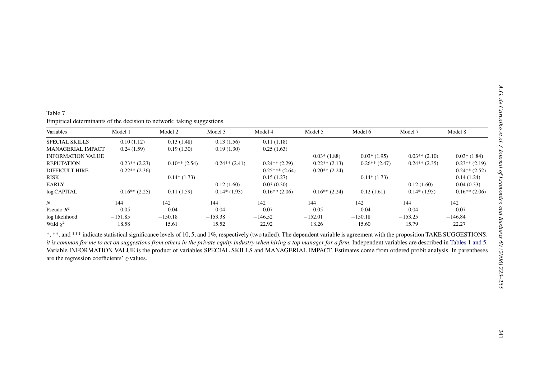| Table 7                                                               |  |
|-----------------------------------------------------------------------|--|
| Empirical determinants of the decision to network: taking suggestions |  |

<span id="page-18-0"></span>

| <b>SPECIAL SKILLS</b><br>MANAGERIAL IMPACT                                                                                                                                                                                                                                                                                                                                                     |                 | Model 2         | Model 3         | Model 4         | Model 5         | Model 6         | Model 7         | Model 8         |
|------------------------------------------------------------------------------------------------------------------------------------------------------------------------------------------------------------------------------------------------------------------------------------------------------------------------------------------------------------------------------------------------|-----------------|-----------------|-----------------|-----------------|-----------------|-----------------|-----------------|-----------------|
|                                                                                                                                                                                                                                                                                                                                                                                                | 0.10(1.12)      | 0.13(1.48)      | 0.13(1.56)      | 0.11(1.18)      |                 |                 |                 |                 |
|                                                                                                                                                                                                                                                                                                                                                                                                | 0.24(1.59)      | 0.19(1.30)      | 0.19(1.30)      | 0.25(1.63)      |                 |                 |                 |                 |
| <b>INFORMATION VALUE</b>                                                                                                                                                                                                                                                                                                                                                                       |                 |                 |                 |                 | $0.03*(1.88)$   | $0.03*(1.95)$   | $0.03**$ (2.10) | $0.03*(1.84)$   |
| <b>REPUTATION</b>                                                                                                                                                                                                                                                                                                                                                                              | $0.23**$ (2.23) | $0.10**$ (2.54) | $0.24**$ (2.41) | $0.24**$ (2.29) | $0.22**$ (2.13) | $0.26**$ (2.47) | $0.24**$ (2.35) | $0.23**$ (2.19) |
| <b>DIFFICULT HIRE</b>                                                                                                                                                                                                                                                                                                                                                                          | $0.22**$ (2.36) |                 |                 | $0.25***(2.64)$ | $0.20**$ (2.24) |                 |                 | $0.24**$ (2.52) |
| <b>RISK</b>                                                                                                                                                                                                                                                                                                                                                                                    |                 | $0.14*(1.73)$   |                 | 0.15(1.27)      |                 | $0.14*(1.73)$   |                 | 0.14(1.24)      |
| <b>EARLY</b>                                                                                                                                                                                                                                                                                                                                                                                   |                 |                 | 0.12(1.60)      | 0.03(0.30)      |                 |                 | 0.12(1.60)      | 0.04(0.33)      |
| log CAPITAL                                                                                                                                                                                                                                                                                                                                                                                    | $0.16**$ (2.25) | 0.11(1.59)      | $0.14*(1.93)$   | $0.16**$ (2.06) | $0.16**$ (2.24) | 0.12(1.61)      | $0.14*(1.95)$   | $0.16**$ (2.06) |
| $\boldsymbol{N}$                                                                                                                                                                                                                                                                                                                                                                               | 144             | 142             | 144             | 142             | 144             | 142             | 144             | 142             |
| Pseudo- $R^2$                                                                                                                                                                                                                                                                                                                                                                                  | 0.05            | 0.04            | 0.04            | 0.07            | 0.05            | 0.04            | 0.04            | 0.07            |
| log likelihood                                                                                                                                                                                                                                                                                                                                                                                 | $-151.85$       | $-150.18$       | $-153.38$       | $-146.52$       | $-152.01$       | $-150.18$       | $-153.25$       | $-146.84$       |
| Wald $\chi^2$                                                                                                                                                                                                                                                                                                                                                                                  | 18.58           | 15.61           | 15.52           | 22.92           | 18.26           | 15.60           | 15.79           | 22.27           |
| it is common for me to act on suggestions from others in the private equity industry when hiring a top manager for a firm. Independent variables are described in Tables 1 and 5.<br>Variable INFORMATION VALUE is the product of variables SPECIAL SKILLS and MANAGERIAL IMPACT. Estimates come from ordered probit analysis. In parentheses<br>are the regression coefficients' $z$ -values. |                 |                 |                 |                 |                 |                 |                 |                 |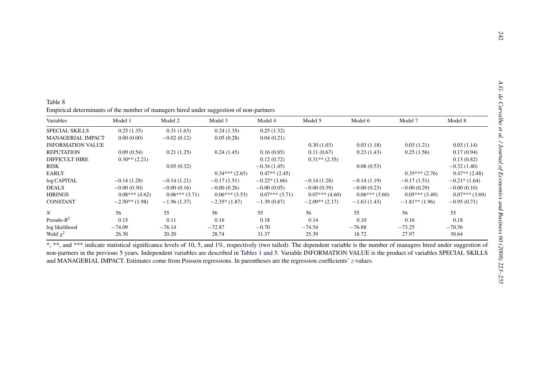|             | Cur vaino et ai. / Journai Diconomics and Dustries OU (2000) 22. |
|-------------|------------------------------------------------------------------|
|             |                                                                  |
|             |                                                                  |
| -<br>S<br>S |                                                                  |
|             |                                                                  |

| Table 8 |  |  |                                                                                         |
|---------|--|--|-----------------------------------------------------------------------------------------|
|         |  |  | Empirical determinants of the number of managers hired under suggestion of non-partners |

<span id="page-19-0"></span>

| Variables                | Model 1          | Model 2         | Model 3         | Model 4         | Model 5          | Model 6          | Model 7          | Model 8          |
|--------------------------|------------------|-----------------|-----------------|-----------------|------------------|------------------|------------------|------------------|
| <b>SPECIAL SKILLS</b>    | 0.25(1.35)       | 0.31(1.63)      | 0.24(1.35)      | 0.25(1.32)      |                  |                  |                  |                  |
| <b>MANAGERIAL IMPACT</b> | 0.00(0.00)       | $-0.02(0.12)$   | 0.05(0.28)      | 0.04(0.21)      |                  |                  |                  |                  |
| <b>INFORMATION VALUE</b> |                  |                 |                 |                 | 0.30(1.03)       | 0.03(1.18)       | 0.03(1.21)       | 0.03(1.14)       |
| <b>REPUTATION</b>        | 0.09(0.54)       | 0.21(1.25)      | 0.24(1.45)      | 0.16(0.85)      | 0.11(0.67)       | 0.23(1.43)       | 0.25(1.56)       | 0.17(0.94)       |
| <b>DIFFICULT HIRE</b>    | $0.30**$ (2.21)  |                 |                 | 0.12(0.72)      | $0.31**$ (2.35)  |                  |                  | 0.13(0.82)       |
| <b>RISK</b>              |                  | 0.05(0.32)      |                 | $-0.34(1.45)$   |                  | 0.08(0.53)       |                  | $-0.32(1.40)$    |
| <b>EARLY</b>             |                  |                 | $0.34***(2.65)$ | $0.47**$ (2.45) |                  |                  | $0.35***(2.76)$  | $0.47**$ (2.48)  |
| log CAPITAL              | $-0.14(1.28)$    | $-0.14(1.21)$   | $-0.17(1.51)$   | $-0.22*(1.66)$  | $-0.14(1.28)$    | $-0.14(1.19)$    | $-0.17(1.51)$    | $-0.21*(1.64)$   |
| <b>DEALS</b>             | $-0.00(0.30)$    | $-0.00(0.16)$   | $-0.00(0.26)$   | $-0.00(0.05)$   | $-0.00(0.39)$    | $-0.00(0.23)$    | $-0.00(0.29)$    | $-0.00(0.10)$    |
| <b>HIRINGS</b>           | $0.08***$ (4.62) | $0.06***(3.71)$ | $0.06***(3.53)$ | $0.07***(3.71)$ | $0.07***$ (4.60) | $0.06***$ (3.60) | $0.05***(3.49)$  | $0.07***$ (3.69) |
| <b>CONSTANT</b>          | $-2.50**$ (1.98) | $-1.96(1.37)$   | $-2.35*(1.87)$  | $-1.39(0.87)$   | $-2.09**$ (2.17) | $-1.63(1.43)$    | $-1.81**$ (1.96) | $-0.95(0.71)$    |
| N                        | 56               | 55              | 56              | 55              | 56               | 55               | 56               | 55               |
| Pseudo- $R^2$            | 0.15             | 0.11            | 0.16            | 0.18            | 0.14             | 0.10             | 0.16             | 0.18             |
| log likelihood           | $-74.09$         | $-76.14$        | $-72.87$        | $-0.70$         | $-74.54$         | $-76.88$         | $-73.25$         | $-70.56$         |
| Wald $\chi^2$            | 26.30            | 20.20           | 28.74           | 31.37           | 25.39            | 18.72            | 27.97            | 30.64            |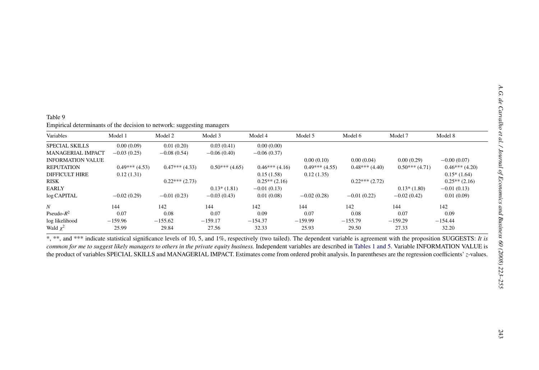<span id="page-20-0"></span>

| Table 9                                                                |  |
|------------------------------------------------------------------------|--|
| Empirical determinants of the decision to network: suggesting managers |  |

| 0.00(0.09)<br>0.01(0.20)<br>0.03(0.41)<br>0.00(0.00)<br>$-0.03(0.25)$<br>$-0.08(0.54)$<br>$-0.06(0.40)$<br>$-0.06(0.37)$<br>0.00(0.10)<br>0.00(0.04)<br>0.00(0.29)<br>$0.46***(4.16)$<br>$0.49***$ (4.55)<br>$0.48***(4.40)$<br>$0.49***$ (4.53)<br>$0.47***$ (4.33)<br>$0.50***(4.65)$<br>$0.50***(4.71)$<br>0.12(1.31)<br>0.15(1.58)<br>0.12(1.35)<br>$0.22***(2.73)$<br>$0.22***(2.72)$<br>$0.25**$ (2.16)<br>$0.13*(1.81)$<br>$-0.01(0.13)$<br>$0.13*(1.80)$<br>$-0.02(0.29)$<br>$-0.01(0.23)$<br>$-0.03(0.43)$<br>0.01(0.08)<br>$-0.02(0.28)$<br>$-0.01(0.22)$<br>$-0.02(0.42)$<br>142<br>144<br>144<br>142<br>144<br>142<br>144<br>142<br>0.07<br>0.09<br>0.08<br>0.07<br>0.08<br>0.07<br>0.07<br>0.09<br>$-159.96$<br>$-159.17$<br>$-154.37$<br>$-159.99$<br>$-155.79$<br>$-154.44$<br>$-155.62$<br>$-159.29$<br>25.99<br>29.84<br>27.56<br>32.33<br>27.33<br>32.20<br>25.93<br>29.50 | $-0.00(0.07)$<br>$0.15*(1.64)$<br>$-0.01(0.13)$<br>0.01(0.09)                                                                                                                                                                                                                                                                                                                                                                                                                                                                     | Variables                | Model 1 | Model 2 | Model 3 | Model 4 | Model 5 | Model 6 | Model 7 | Model 8         |
|----------------------------------------------------------------------------------------------------------------------------------------------------------------------------------------------------------------------------------------------------------------------------------------------------------------------------------------------------------------------------------------------------------------------------------------------------------------------------------------------------------------------------------------------------------------------------------------------------------------------------------------------------------------------------------------------------------------------------------------------------------------------------------------------------------------------------------------------------------------------------------------------|-----------------------------------------------------------------------------------------------------------------------------------------------------------------------------------------------------------------------------------------------------------------------------------------------------------------------------------------------------------------------------------------------------------------------------------------------------------------------------------------------------------------------------------|--------------------------|---------|---------|---------|---------|---------|---------|---------|-----------------|
|                                                                                                                                                                                                                                                                                                                                                                                                                                                                                                                                                                                                                                                                                                                                                                                                                                                                                              |                                                                                                                                                                                                                                                                                                                                                                                                                                                                                                                                   | <b>SPECIAL SKILLS</b>    |         |         |         |         |         |         |         |                 |
| <b>INFORMATION VALUE</b><br><b>REPUTATION</b><br><b>DIFFICULT HIRE</b><br><b>RISK</b><br><b>EARLY</b><br>log CAPITAL<br>$\boldsymbol{N}$<br>Pseudo- $R^2$<br>log likelihood<br>Wald $\chi^2$                                                                                                                                                                                                                                                                                                                                                                                                                                                                                                                                                                                                                                                                                                 | *, **, and *** indicate statistical significance levels of 10, 5, and 1%, respectively (two tailed). The dependent variable is agreement with the proposition SUGGESTS: It is<br>common for me to suggest likely managers to others in the private equity business. Independent variables are described in Tables 1 and 5. Variable INFORMATION VALUE is<br>the product of variables SPECIAL SKILLS and MANAGERIAL IMPACT. Estimates come from ordered probit analysis. In parentheses are the regression coefficients' z-values. | <b>MANAGERIAL IMPACT</b> |         |         |         |         |         |         |         |                 |
|                                                                                                                                                                                                                                                                                                                                                                                                                                                                                                                                                                                                                                                                                                                                                                                                                                                                                              |                                                                                                                                                                                                                                                                                                                                                                                                                                                                                                                                   |                          |         |         |         |         |         |         |         |                 |
|                                                                                                                                                                                                                                                                                                                                                                                                                                                                                                                                                                                                                                                                                                                                                                                                                                                                                              |                                                                                                                                                                                                                                                                                                                                                                                                                                                                                                                                   |                          |         |         |         |         |         |         |         | $0.46***(4.20)$ |
|                                                                                                                                                                                                                                                                                                                                                                                                                                                                                                                                                                                                                                                                                                                                                                                                                                                                                              |                                                                                                                                                                                                                                                                                                                                                                                                                                                                                                                                   |                          |         |         |         |         |         |         |         |                 |
|                                                                                                                                                                                                                                                                                                                                                                                                                                                                                                                                                                                                                                                                                                                                                                                                                                                                                              |                                                                                                                                                                                                                                                                                                                                                                                                                                                                                                                                   |                          |         |         |         |         |         |         |         | $0.25**$ (2.16) |
|                                                                                                                                                                                                                                                                                                                                                                                                                                                                                                                                                                                                                                                                                                                                                                                                                                                                                              |                                                                                                                                                                                                                                                                                                                                                                                                                                                                                                                                   |                          |         |         |         |         |         |         |         |                 |
|                                                                                                                                                                                                                                                                                                                                                                                                                                                                                                                                                                                                                                                                                                                                                                                                                                                                                              |                                                                                                                                                                                                                                                                                                                                                                                                                                                                                                                                   |                          |         |         |         |         |         |         |         |                 |
|                                                                                                                                                                                                                                                                                                                                                                                                                                                                                                                                                                                                                                                                                                                                                                                                                                                                                              |                                                                                                                                                                                                                                                                                                                                                                                                                                                                                                                                   |                          |         |         |         |         |         |         |         |                 |
|                                                                                                                                                                                                                                                                                                                                                                                                                                                                                                                                                                                                                                                                                                                                                                                                                                                                                              |                                                                                                                                                                                                                                                                                                                                                                                                                                                                                                                                   |                          |         |         |         |         |         |         |         |                 |
|                                                                                                                                                                                                                                                                                                                                                                                                                                                                                                                                                                                                                                                                                                                                                                                                                                                                                              |                                                                                                                                                                                                                                                                                                                                                                                                                                                                                                                                   |                          |         |         |         |         |         |         |         |                 |
|                                                                                                                                                                                                                                                                                                                                                                                                                                                                                                                                                                                                                                                                                                                                                                                                                                                                                              |                                                                                                                                                                                                                                                                                                                                                                                                                                                                                                                                   |                          |         |         |         |         |         |         |         |                 |
|                                                                                                                                                                                                                                                                                                                                                                                                                                                                                                                                                                                                                                                                                                                                                                                                                                                                                              |                                                                                                                                                                                                                                                                                                                                                                                                                                                                                                                                   |                          |         |         |         |         |         |         |         |                 |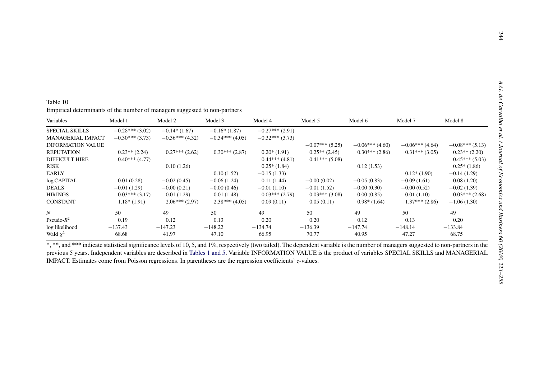| Table 10                                                                   |  |
|----------------------------------------------------------------------------|--|
| Empirical determinants of the number of managers suggested to non-partners |  |

<span id="page-21-0"></span>

| Variables                | Model 1          | Model 2          | Model 3           | Model 4          | Model 5           | Model 6          | Model 7          | Model 8           |
|--------------------------|------------------|------------------|-------------------|------------------|-------------------|------------------|------------------|-------------------|
| <b>SPECIAL SKILLS</b>    | $-0.28***(3.02)$ | $-0.14*(1.67)$   | $-0.16*(1.87)$    | $-0.27***(2.91)$ |                   |                  |                  |                   |
| <b>MANAGERIAL IMPACT</b> | $-0.30***(3.73)$ | $-0.36***(4.32)$ | $-0.34***$ (4.05) | $-0.32***(3.73)$ |                   |                  |                  |                   |
| <b>INFORMATION VALUE</b> |                  |                  |                   |                  | $-0.07***$ (5.25) | $-0.06***(4.60)$ | $-0.06***(4.64)$ | $-0.08***$ (5.13) |
| <b>REPUTATION</b>        | $0.23**$ (2.24)  | $0.27***(2.62)$  | $0.30***(2.87)$   | $0.20*(1.91)$    | $0.25**$ (2.45)   | $0.30***(2.86)$  | $0.31***(3.05)$  | $0.23**$ (2.20)   |
| <b>DIFFICULT HIRE</b>    | $0.40***$ (4.77) |                  |                   | $0.44***(4.81)$  | $0.41***$ (5.08)  |                  |                  | $0.45***(5.03)$   |
| <b>RISK</b>              |                  | 0.10(1.26)       |                   | $0.25*(1.84)$    |                   | 0.12(1.53)       |                  | $0.25*(1.86)$     |
| <b>EARLY</b>             |                  |                  | 0.10(1.52)        | $-0.15(1.33)$    |                   |                  | $0.12*(1.90)$    | $-0.14(1.29)$     |
| log CAPITAL              | 0.01(0.28)       | $-0.02(0.45)$    | $-0.06(1.24)$     | 0.11(1.44)       | $-0.00(0.02)$     | $-0.05(0.83)$    | $-0.09(1.61)$    | 0.08(1.20)        |
| <b>DEALS</b>             | $-0.01(1.29)$    | $-0.00(0.21)$    | $-0.00(0.46)$     | $-0.01(1.10)$    | $-0.01(1.52)$     | $-0.00(0.30)$    | $-0.00(0.52)$    | $-0.02(1.39)$     |
| <b>HIRINGS</b>           | $0.03***(3.17)$  | 0.01(1.29)       | 0.01(1.48)        | $0.03***(2.79)$  | $0.03***(3.08)$   | 0.00(0.85)       | 0.01(1.10)       | $0.03***(2.68)$   |
| <b>CONSTANT</b>          | $1.18*(1.91)$    | $2.06***(2.97)$  | $2.38***(4.05)$   | 0.09(0.11)       | 0.05(0.11)        | $0.98*(1.64)$    | $1.37***$ (2.86) | $-1.06(1.30)$     |
| $\boldsymbol{N}$         | 50               | 49               | 50                | 49               | 50                | 49               | 50               | 49                |
| Pseudo- $R^2$            | 0.19             | 0.12             | 0.13              | 0.20             | 0.20              | 0.12             | 0.13             | 0.20              |
| log likelihood           | $-137.43$        | $-147.23$        | $-148.22$         | $-134.74$        | $-136.39$         | $-147.74$        | $-148.14$        | $-133.84$         |
| Wald $\chi^2$            | 68.68            | 41.97            | 47.10             | 66.95            | 70.77             | 40.95            | 47.27            | 68.75             |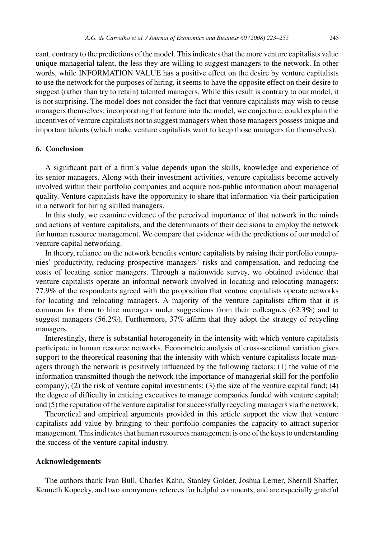<span id="page-22-0"></span>cant, contrary to the predictions of the model. This indicates that the more venture capitalists value unique managerial talent, the less they are willing to suggest managers to the network. In other words, while INFORMATION VALUE has a positive effect on the desire by venture capitalists to use the network for the purposes of hiring, it seems to have the opposite effect on their desire to suggest (rather than try to retain) talented managers. While this result is contrary to our model, it is not surprising. The model does not consider the fact that venture capitalists may wish to reuse managers themselves; incorporating that feature into the model, we conjecture, could explain the incentives of venture capitalists not to suggest managers when those managers possess unique and important talents (which make venture capitalists want to keep those managers for themselves).

## **6. Conclusion**

A significant part of a firm's value depends upon the skills, knowledge and experience of its senior managers. Along with their investment activities, venture capitalists become actively involved within their portfolio companies and acquire non-public information about managerial quality. Venture capitalists have the opportunity to share that information via their participation in a network for hiring skilled managers.

In this study, we examine evidence of the perceived importance of that network in the minds and actions of venture capitalists, and the determinants of their decisions to employ the network for human resource management. We compare that evidence with the predictions of our model of venture capital networking.

In theory, reliance on the network benefits venture capitalists by raising their portfolio companies' productivity, reducing prospective managers' risks and compensation, and reducing the costs of locating senior managers. Through a nationwide survey, we obtained evidence that venture capitalists operate an informal network involved in locating and relocating managers: 77.9% of the respondents agreed with the proposition that venture capitalists operate networks for locating and relocating managers. A majority of the venture capitalists affirm that it is common for them to hire managers under suggestions from their colleagues (62.3%) and to suggest managers (56.2%). Furthermore, 37% affirm that they adopt the strategy of recycling managers.

Interestingly, there is substantial heterogeneity in the intensity with which venture capitalists participate in human resource networks. Econometric analysis of cross-sectional variation gives support to the theoretical reasoning that the intensity with which venture capitalists locate managers through the network is positively influenced by the following factors: (1) the value of the information transmitted though the network (the importance of managerial skill for the portfolio company); (2) the risk of venture capital investments; (3) the size of the venture capital fund; (4) the degree of difficulty in enticing executives to manage companies funded with venture capital; and (5) the reputation of the venture capitalist for successfully recycling managers via the network.

Theoretical and empirical arguments provided in this article support the view that venture capitalists add value by bringing to their portfolio companies the capacity to attract superior management. This indicates that human resources management is one of the keys to understanding the success of the venture capital industry.

#### **Acknowledgements**

The authors thank Ivan Bull, Charles Kahn, Stanley Golder, Joshua Lerner, Sherrill Shaffer, Kenneth Kopecky, and two anonymous referees for helpful comments, and are especially grateful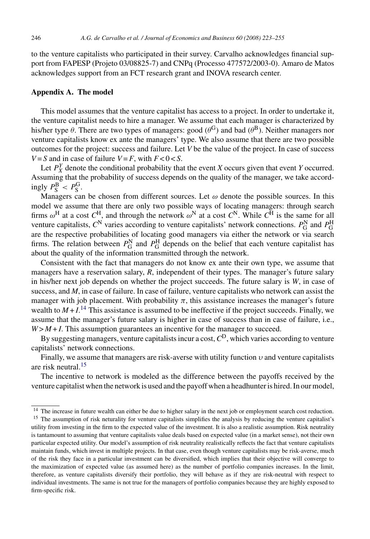<span id="page-23-0"></span>to the venture capitalists who participated in their survey. Carvalho acknowledges financial support from FAPESP (Projeto 03/08825-7) and CNPq (Processo 477572/2003-0). Amaro de Matos acknowledges support from an FCT research grant and INOVA research center.

## **Appendix A. The model**

This model assumes that the venture capitalist has access to a project. In order to undertake it, the venture capitalist needs to hire a manager. We assume that each manager is characterized by his/her type  $\theta$ . There are two types of managers: good ( $\theta$ G) and bad ( $\theta$ B). Neither managers nor venture capitalists know ex ante the managers' type. We also assume that there are two possible outcomes for the project: success and failure. Let *V* be the value of the project. In case of success *V* = *S* and in case of failure *V* = *F*, with  $F < 0 < S$ .

Let  $P_X^Y$  denote the conditional probability that the event *X* occurs given that event *Y* occurred. Assuming that the probability of success depends on the quality of the manager, we take accordingly  $P_{\rm S}^{\rm B} < P_{\rm S}^{\rm G}$ .

Managers can be chosen from different sources. Let  $\omega$  denote the possible sources. In this model we assume that there are only two possible ways of locating managers: through search firms  $\omega^H$  at a cost  $C^H$ , and through the network  $\omega^N$  at a cost  $C^N$ . While  $C^H$  is the same for all venture capitalists,  $C^N$  varies according to venture capitalists' network connections.  $P_G^N$  and  $P_G^H$ are the respective probabilities of locating good managers via either the network or via search firms. The relation between  $P_{\rm G}^{\rm N}$  and  $P_{\rm G}^{\rm H}$  depends on the belief that each venture capitalist has about the quality of the information transmitted through the network.

Consistent with the fact that managers do not know ex ante their own type, we assume that managers have a reservation salary, *R*, independent of their types. The manager's future salary in his/her next job depends on whether the project succeeds. The future salary is *W*, in case of success, and *M*, in case of failure. In case of failure, venture capitalists who network can assist the manager with job placement. With probability  $\pi$ , this assistance increases the manager's future wealth to  $M + I$ <sup>14</sup>. This assistance is assumed to be ineffective if the project succeeds. Finally, we assume that the manager's future salary is higher in case of success than in case of failure, i.e.,  $W > M + I$ . This assumption guarantees an incentive for the manager to succeed.

By suggesting managers, venture capitalists incur a cost, *C*D, which varies according to venture capitalists' network connections.

Finally, we assume that managers are risk-averse with utility function  $\nu$  and venture capitalists are risk neutral.<sup>15</sup>

The incentive to network is modeled as the difference between the payoffs received by the venture capitalist when the network is used and the payoff when a headhunter is hired. In our model,

<sup>&</sup>lt;sup>14</sup> The increase in future wealth can either be due to higher salary in the next job or employment search cost reduction. <sup>15</sup> The assumption of risk neturality for venture capitalists simplifies the analysis by reducing the venture capitalist's

utility from investing in the firm to the expected value of the investment. It is also a realistic assumption. Risk neutrality is tantamount to assuming that venture capitalists value deals based on expected value (in a market sense), not their own particular expected utility. Our model's assumption of risk neutrality realistically reflects the fact that venture capitalists maintain funds, which invest in multiple projects. In that case, even though venture capitalists may be risk-averse, much of the risk they face in a particular investment can be diversified, which implies that their objective will converge to the maximization of expected value (as assumed here) as the number of portfolio companies increases. In the limit, therefore, as venture capitalists diversify their portfolio, they will behave as if they are risk-neutral with respect to individual investments. The same is not true for the managers of portfolio companies because they are highly exposed to firm-specific risk.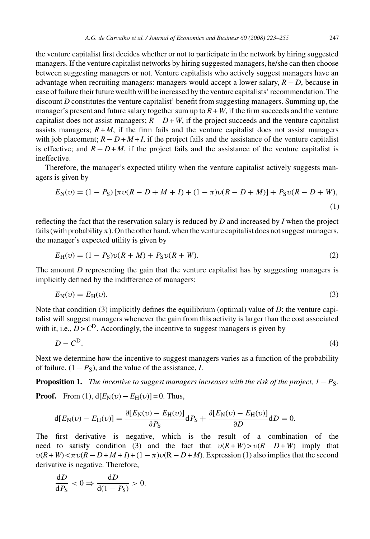<span id="page-24-0"></span>the venture capitalist first decides whether or not to participate in the network by hiring suggested managers. If the venture capitalist networks by hiring suggested managers, he/she can then choose between suggesting managers or not. Venture capitalists who actively suggest managers have an advantage when recruiting managers: managers would accept a lower salary, *R* − *D*, because in case of failure their future wealth will be increased by the venture capitalists' recommendation. The discount *D* constitutes the venture capitalist' benefit from suggesting managers. Summing up, the manager's present and future salary together sum up to  $R + W$ , if the firm succeeds and the venture capitalist does not assist managers;  $R - D + W$ , if the project succeeds and the venture capitalist assists managers;  $R + M$ , if the firm fails and the venture capitalist does not assist managers with job placement;  $R - D + M + I$ , if the project fails and the assistance of the venture capitalist is effective; and  $R - D + M$ , if the project fails and the assistance of the venture capitalist is

Therefore, the manager's expected utility when the venture capitalist actively suggests managers is given by

$$
E_N(\nu) = (1 - P_S) [\pi \nu (R - D + M + I) + (1 - \pi) \nu (R - D + M)] + P_S \nu (R - D + W),
$$
\n(1)

reflecting the fact that the reservation salary is reduced by *D* and increased by *I* when the project fails (with probability  $\pi$ ). On the other hand, when the venture capitalist does not suggest managers, the manager's expected utility is given by

$$
E_H(v) = (1 - P_S)v(R + M) + P_Sv(R + W).
$$
\n(2)

The amount *D* representing the gain that the venture capitalist has by suggesting managers is implicitly defined by the indifference of managers:

$$
E_{\rm N}(v) = E_{\rm H}(v). \tag{3}
$$

Note that condition (3) implicitly defines the equilibrium (optimal) value of *D*: the venture capitalist will suggest managers whenever the gain from this activity is larger than the cost associated with it, i.e.,  $D > C^D$ . Accordingly, the incentive to suggest managers is given by

$$
D - C^D. \tag{4}
$$

Next we determine how the incentive to suggest managers varies as a function of the probability of failure,  $(1 - P_S)$ , and the value of the assistance, *I*.

**Proposition 1.** *The incentive to suggest managers increases with the risk of the project,*  $1 - P_S$ *.* **Proof.** From (1),  $d[E_N(v) - E_H(v)] = 0$ . Thus,

$$
d[E_N(v) - E_H(v)] = \frac{\partial [E_N(v) - E_H(v)]}{\partial P_S} dP_S + \frac{\partial [E_N(v) - E_H(v)]}{\partial D} dD = 0.
$$

The first derivative is negative, which is the result of a combination of the need to satisfy condition (3) and the fact that  $v(R+W) > v(R-D+W)$  imply that  $v(R+W) < \pi v(R-D+M+I) + (1-\pi)v(R-D+M)$ . Expression (1) also implies that the second derivative is negative. Therefore,

$$
\frac{\mathrm{d}D}{\mathrm{d}P_{\mathrm{S}}} < 0 \Rightarrow \frac{\mathrm{d}D}{\mathrm{d}(1 - P_{\mathrm{S}})} > 0.
$$

ineffective.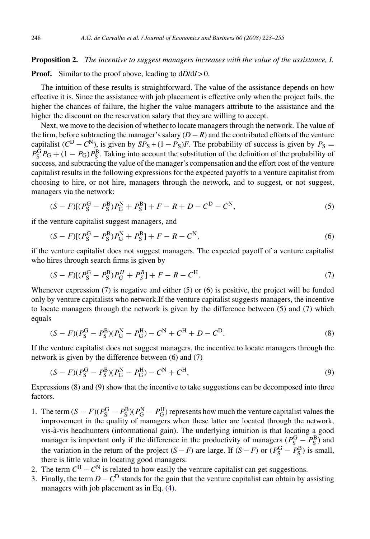## <span id="page-25-0"></span>**Proposition 2.** *The incentive to suggest managers increases with the value of the assistance, I.*

**Proof.** Similar to the proof above, leading to d*D*/d*I* > 0.

The intuition of these results is straightforward. The value of the assistance depends on how effective it is. Since the assistance with job placement is effective only when the project fails, the higher the chances of failure, the higher the value managers attribute to the assistance and the higher the discount on the reservation salary that they are willing to accept.

Next, we move to the decision of whether to locate managers through the network. The value of the firm, before subtracting the manager's salary  $(D - R)$  and the contributed efforts of the venture capitalist  $(C^D - C^N)$ , is given by  $SP_S + (1 - P_S)F$ . The probability of success is given by  $P_S =$  $P_{\rm S}^{\rm G}P_{\rm G} + (1 - P_{\rm G})P_{\rm S}^{\rm B}$ . Taking into account the substitution of the definition of the probability of success, and subtracting the value of the manager's compensation and the effort cost of the venture capitalist results in the following expressions for the expected payoffs to a venture capitalist from choosing to hire, or not hire, managers through the network, and to suggest, or not suggest, managers via the network:

$$
(S - F)[(P_S^G - P_S^B)P_G^N + P_S^B] + F - R + D - C^D - C^N,
$$
\n(5)

if the venture capitalist suggest managers, and

$$
(S - F)[(P_S^G - P_S^B)P_G^N + P_S^B] + F - R - C^N,
$$
\n(6)

if the venture capitalist does not suggest managers. The expected payoff of a venture capitalist who hires through search firms is given by

$$
(S - F)[(P_S^G - P_S^B)P_G^H + P_S^B] + F - R - C^H.
$$
\n(7)

Whenever expression  $(7)$  is negative and either  $(5)$  or  $(6)$  is positive, the project will be funded only by venture capitalists who network.If the venture capitalist suggests managers, the incentive to locate managers through the network is given by the difference between (5) and (7) which equals

$$
(S - F)(P_S^G - P_S^B)(P_G^N - P_G^H) - C^N + C^H + D - C^D.
$$
\n(8)

If the venture capitalist does not suggest managers, the incentive to locate managers through the network is given by the difference between (6) and (7)

$$
(S - F)(P_S^G - P_S^B)(P_G^N - P_G^H) - C^N + C^H,
$$
\n(9)

Expressions (8) and (9) show that the incentive to take suggestions can be decomposed into three factors.

- 1. The term  $(S F)(P_S^G P_S^B)(P_G^N P_G^H)$  represents how much the venture capitalist values the improvement in the quality of managers when these latter are located through the network, vis-a-vis headhunters (informational gain). The underlying intuition is that locating a good ` manager is important only if the difference in the productivity of managers ( $P_{\rm S}^{\rm G} - P_{\rm S}^{\rm B}$ ) and the variation in the return of the project  $(S - F)$  are large. If  $(S - F)$  or  $(P_S^G - P_S^B)$  is small, there is little value in locating good managers.
- 2. The term  $C^H C^N$  is related to how easily the venture capitalist can get suggestions.
- 3. Finally, the term  $D C^D$  stands for the gain that the venture capitalist can obtain by assisting managers with job placement as in Eq. [\(4\).](#page-24-0)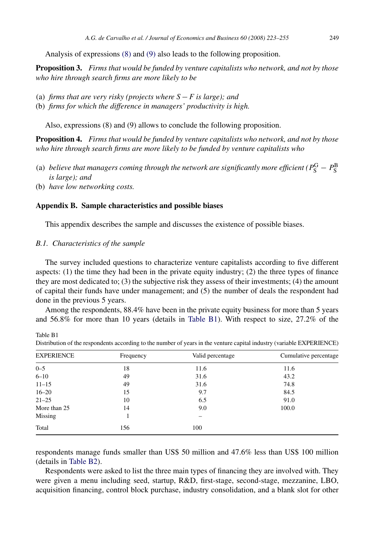<span id="page-26-0"></span>Analysis of expressions [\(8\)](#page-25-0) and [\(9\)](#page-25-0) also leads to the following proposition.

**Proposition 3.** *Firms that would be funded by venture capitalists who network, and not by those who hire through search firms are more likely to be*

- (a) *firms that are very risky (projects where S* − *F is large); and*
- (b) *firms for which the difference in managers' productivity is high.*

Also, expressions (8) and (9) allows to conclude the following proposition.

**Proposition 4.** *Firms that would be funded by venture capitalists who network, and not by those who hire through search firms are more likely to be funded by venture capitalists who*

- (a) *believe that managers coming through the network are significantly more efficient* ( $P_{\rm S}^{\rm G} P_{\rm S}^{\rm B}$ *is large); and*
- (b) *have low networking costs.*

## **Appendix B. Sample characteristics and possible biases**

This appendix describes the sample and discusses the existence of possible biases.

#### *B.1. Characteristics of the sample*

 $T_1$ ,  $T_2$ ,  $T_3$ 

The survey included questions to characterize venture capitalists according to five different aspects: (1) the time they had been in the private equity industry; (2) the three types of finance they are most dedicated to; (3) the subjective risk they assess of their investments; (4) the amount of capital their funds have under management; and (5) the number of deals the respondent had done in the previous 5 years.

Among the respondents, 88.4% have been in the private equity business for more than 5 years and 56.8% for more than 10 years (details in Table B1). With respect to size, 27.2% of the

| <b>EVDEDIEMOE</b> | $\mathbf{r}$ , and $\mathbf{r}$ , and $\mathbf{r}$ , and $\mathbf{r}$ , and $\mathbf{r}$ , and $\mathbf{r}$ , and $\mathbf{r}$ | $\sim$ $\sim$ $\sim$ $\sim$ |
|-------------------|--------------------------------------------------------------------------------------------------------------------------------|-----------------------------|
|                   | Distribution of the respondents according to the number of years in the venture capital industry (variable EXPERIENCE)         |                             |
| Table DT          |                                                                                                                                |                             |

| <b>EXPERIENCE</b> | Frequency | Valid percentage | Cumulative percentage |
|-------------------|-----------|------------------|-----------------------|
| $0 - 5$           | 18        | 11.6             | 11.6                  |
| $6 - 10$          | 49        | 31.6             | 43.2                  |
| $11 - 15$         | 49        | 31.6             | 74.8                  |
| $16 - 20$         | 15        | 9.7              | 84.5                  |
| $21 - 25$         | 10        | 6.5              | 91.0                  |
| More than 25      | 14        | 9.0              | 100.0                 |
| Missing           |           |                  |                       |
| Total             | 156       | 100              |                       |

respondents manage funds smaller than US\$ 50 million and 47.6% less than US\$ 100 million (details in [Table B2\).](#page-27-0)

Respondents were asked to list the three main types of financing they are involved with. They were given a menu including seed, startup, R&D, first-stage, second-stage, mezzanine, LBO, acquisition financing, control block purchase, industry consolidation, and a blank slot for other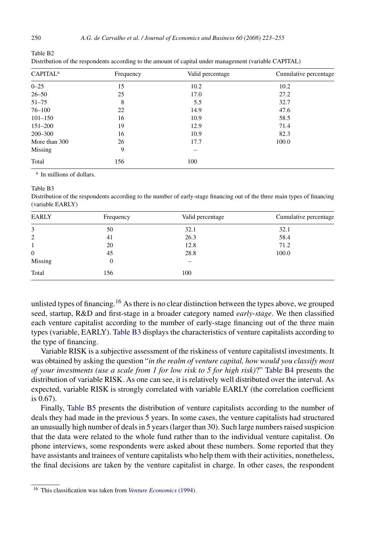| <b>CAPITAL<sup>a</sup></b> | Frequency | Valid percentage | Cumulative percentage |
|----------------------------|-----------|------------------|-----------------------|
| $0 - 25$                   | 15        | 10.2             | 10.2                  |
| $26 - 50$                  | 25        | 17.0             | 27.2                  |
| $51 - 75$                  | 8         | 5.5              | 32.7                  |
| $76 - 100$                 | 22        | 14.9             | 47.6                  |
| $101 - 150$                | 16        | 10.9             | 58.5                  |
| $151 - 200$                | 19        | 12.9             | 71.4                  |
| $200 - 300$                | 16        | 10.9             | 82.3                  |
| More than 300              | 26        | 17.7             | 100.0                 |
| Missing                    | 9         |                  |                       |
| Total                      | 156       | 100              |                       |

<span id="page-27-0"></span>Table B2 Distribution of the respondents according to the amount of capital under management (variable CAPITAL)

<sup>a</sup> In millions of dollars.

Table B3

Distribution of the respondents according to the number of early-stage financing out of the three main types of financing (variable EARLY)

| <b>EARLY</b>   | Frequency | Valid percentage | Cumulative percentage |
|----------------|-----------|------------------|-----------------------|
| 3              | 50        | 32.1             | 32.1                  |
| 2              | 41        | 26.3             | 58.4                  |
| 1              | 20        | 12.8             | 71.2                  |
| $\overline{0}$ | 45        | 28.8             | 100.0                 |
| Missing        | 0         |                  |                       |
| Total          | 156       | 100              |                       |

unlisted types of financing.<sup>16</sup> As there is no clear distinction between the types above, we grouped seed, startup, R&D and first-stage in a broader category named *early*-*stage*. We then classified each venture capitalist according to the number of early-stage financing out of the three main types (variable, EARLY). Table B3 displays the characteristics of venture capitalists according to the type of financing.

Variable RISK is a subjective assessment of the riskiness of venture capitalistsĭ investments. It was obtained by asking the question "*in the realm of venture capital, how would you classify most of your investments (use a scale from 1 for low risk to 5 for high risk)*?" [Table B4](#page-28-0) presents the distribution of variable RISK. As one can see, it is relatively well distributed over the interval. As expected, variable RISK is strongly correlated with variable EARLY (the correlation coefficient is 0.67).

Finally, [Table B5](#page-28-0) presents the distribution of venture capitalists according to the number of deals they had made in the previous 5 years. In some cases, the venture capitalists had structured an unusually high number of deals in 5 years (larger than 30). Such large numbers raised suspicion that the data were related to the whole fund rather than to the individual venture capitalist. On phone interviews, some respondents were asked about these numbers. Some reported that they have assistants and trainees of venture capitalists who help them with their activities, nonetheless, the final decisions are taken by the venture capitalist in charge. In other cases, the respondent

<sup>16</sup> This classification was taken from *[Venture Economics](#page-32-0)* [\(1994\).](#page-32-0)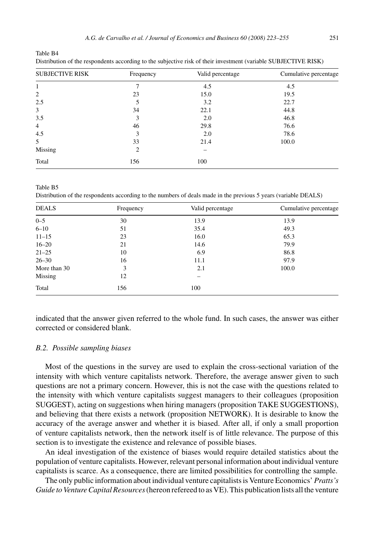| <b>SUBJECTIVE RISK</b> | Frequency | Valid percentage | Cumulative percentage |
|------------------------|-----------|------------------|-----------------------|
|                        | 7         | 4.5              | 4.5                   |
| 2                      | 23        | 15.0             | 19.5                  |
| 2.5                    |           | 3.2              | 22.7                  |
| 3                      | 34        | 22.1             | 44.8                  |
| 3.5                    | 3         | 2.0              | 46.8                  |
| $\overline{4}$         | 46        | 29.8             | 76.6                  |
| 4.5                    | 3         | 2.0              | 78.6                  |
| 5                      | 33        | 21.4             | 100.0                 |
| Missing                | 2         |                  |                       |
| Total                  | 156       | 100              |                       |

Distribution of the respondents according to the subjective risk of their investment (variable SUBJECTIVE RISK)

Table B5

<span id="page-28-0"></span>Table B4

Distribution of the respondents according to the numbers of deals made in the previous 5 years (variable DEALS)

| <b>DEALS</b> | Frequency | Valid percentage | Cumulative percentage |
|--------------|-----------|------------------|-----------------------|
| $0 - 5$      | 30        | 13.9             | 13.9                  |
| $6 - 10$     | 51        | 35.4             | 49.3                  |
| $11 - 15$    | 23        | 16.0             | 65.3                  |
| $16 - 20$    | 21        | 14.6             | 79.9                  |
| $21 - 25$    | 10        | 6.9              | 86.8                  |
| $26 - 30$    | 16        | 11.1             | 97.9                  |
| More than 30 | 3         | 2.1              | 100.0                 |
| Missing      | 12        |                  |                       |
| Total        | 156       | 100              |                       |

indicated that the answer given referred to the whole fund. In such cases, the answer was either corrected or considered blank.

#### *B.2. Possible sampling biases*

Most of the questions in the survey are used to explain the cross-sectional variation of the intensity with which venture capitalists network. Therefore, the average answer given to such questions are not a primary concern. However, this is not the case with the questions related to the intensity with which venture capitalists suggest managers to their colleagues (proposition SUGGEST), acting on suggestions when hiring managers (proposition TAKE SUGGESTIONS), and believing that there exists a network (proposition NETWORK). It is desirable to know the accuracy of the average answer and whether it is biased. After all, if only a small proportion of venture capitalists network, then the network itself is of little relevance. The purpose of this section is to investigate the existence and relevance of possible biases.

An ideal investigation of the existence of biases would require detailed statistics about the population of venture capitalists. However, relevant personal information about individual venture capitalists is scarce. As a consequence, there are limited possibilities for controlling the sample.

The only public information about individual venture capitalists is Venture Economics' *Pratts's Guide to Venture Capital Resources*(hereon refereed to as VE). This publication lists all the venture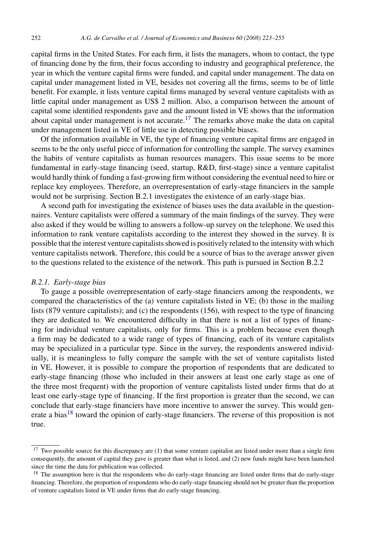capital firms in the United States. For each firm, it lists the managers, whom to contact, the type of financing done by the firm, their focus according to industry and geographical preference, the year in which the venture capital firms were funded, and capital under management. The data on capital under management listed in VE, besides not covering all the firms, seems to be of little benefit. For example, it lists venture capital firms managed by several venture capitalists with as little capital under management as US\$ 2 million. Also, a comparison between the amount of capital some identified respondents gave and the amount listed in VE shows that the information about capital under management is not accurate.<sup>17</sup> The remarks above make the data on capital under management listed in VE of little use in detecting possible biases.

Of the information available in VE, the type of financing venture capital firms are engaged in seems to be the only useful piece of information for controlling the sample. The survey examines the habits of venture capitalists as human resources managers. This issue seems to be more fundamental in early-stage financing (seed, startup, R&D, first-stage) since a venture capitalist would hardly think of funding a fast-growing firm without considering the eventual need to hire or replace key employees. Therefore, an overrepresentation of early-stage financiers in the sample would not be surprising. Section B.2.1 investigates the existence of an early-stage bias.

A second path for investigating the existence of biases uses the data available in the questionnaires. Venture capitalists were offered a summary of the main findings of the survey. They were also asked if they would be willing to answers a follow-up survey on the telephone. We used this information to rank venture capitalists according to the interest they showed in the survey. It is possible that the interest venture capitalists showed is positively related to the intensity with which venture capitalists network. Therefore, this could be a source of bias to the average answer given to the questions related to the existence of the network. This path is pursued in Section B.2.2

#### *B.2.1. Early-stage bias*

To gauge a possible overrepresentation of early-stage financiers among the respondents, we compared the characteristics of the (a) venture capitalists listed in VE; (b) those in the mailing lists (879 venture capitalists); and (c) the respondents (156), with respect to the type of financing they are dedicated to. We encountered difficulty in that there is not a list of types of financing for individual venture capitalists, only for firms. This is a problem because even though a firm may be dedicated to a wide range of types of financing, each of its venture capitalists may be specialized in a particular type. Since in the survey, the respondents answered individually, it is meaningless to fully compare the sample with the set of venture capitalists listed in VE. However, it is possible to compare the proportion of respondents that are dedicated to early-stage financing (those who included in their answers at least one early stage as one of the three most frequent) with the proportion of venture capitalists listed under firms that do at least one early-stage type of financing. If the first proportion is greater than the second, we can conclude that early-stage financiers have more incentive to answer the survey. This would generate a bias<sup>18</sup> toward the opinion of early-stage financiers. The reverse of this proposition is not true.

 $17$  Two possible source for this discrepancy are (1) that some venture capitalist are listed under more than a single firm consequently, the amount of capital they gave is greater than what is listed, and (2) new funds might have been launched since the time the data for publication was collected.

<sup>&</sup>lt;sup>18</sup> The assumption here is that the respondents who do early-stage financing are listed under firms that do early-stage financing. Therefore, the proportion of respondents who do early-stage financing should not be greater than the proportion of venture capitalists listed in VE under firms that do early-stage financing.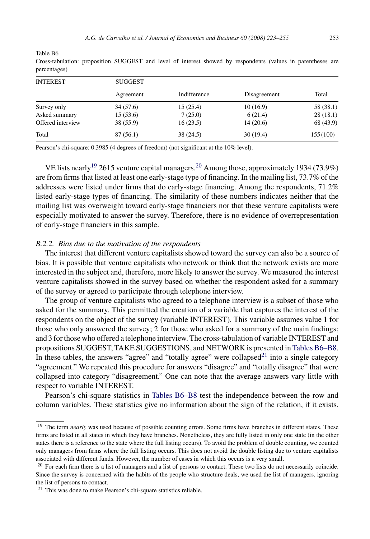Table B6

| <b>INTEREST</b>   | <b>SUGGEST</b> |              |              |           |  |  |
|-------------------|----------------|--------------|--------------|-----------|--|--|
|                   | Agreement      | Indifference | Disagreement | Total     |  |  |
| Survey only       | 34(57.6)       | 15(25.4)     | 10(16.9)     | 58 (38.1) |  |  |
| Asked summary     | 15(53.6)       | 7(25.0)      | 6(21.4)      | 28(18.1)  |  |  |
| Offered interview | 38 (55.9)      | 16(23.5)     | 14(20.6)     | 68 (43.9) |  |  |
| Total             | 87(56.1)       | 38 (24.5)    | 30(19.4)     | 155(100)  |  |  |

Cross-tabulation: proposition SUGGEST and level of interest showed by respondents (values in parentheses are percentages)

Pearson's chi-square: 0.3985 (4 degrees of freedom) (not significant at the 10% level).

VE lists nearly<sup>19</sup> 2615 venture capital managers.<sup>20</sup> Among those, approximately 1934 (73.9%) are from firms that listed at least one early-stage type of financing. In the mailing list, 73.7% of the addresses were listed under firms that do early-stage financing. Among the respondents, 71.2% listed early-stage types of financing. The similarity of these numbers indicates neither that the mailing list was overweight toward early-stage financiers nor that these venture capitalists were especially motivated to answer the survey. Therefore, there is no evidence of overrepresentation of early-stage financiers in this sample.

#### *B.2.2. Bias due to the motivation of the respondents*

The interest that different venture capitalists showed toward the survey can also be a source of bias. It is possible that venture capitalists who network or think that the network exists are more interested in the subject and, therefore, more likely to answer the survey. We measured the interest venture capitalists showed in the survey based on whether the respondent asked for a summary of the survey or agreed to participate through telephone interview.

The group of venture capitalists who agreed to a telephone interview is a subset of those who asked for the summary. This permitted the creation of a variable that captures the interest of the respondents on the object of the survey (variable INTEREST). This variable assumes value 1 for those who only answered the survey; 2 for those who asked for a summary of the main findings; and 3 for those who offered a telephone interview. The cross-tabulation of variable INTEREST and propositions SUGGEST, TAKE SUGGESTIONS, and NETWORK is presented in Tables B6–B8. In these tables, the answers "agree" and "totally agree" were collapsed $21$  into a single category "agreement." We repeated this procedure for answers "disagree" and "totally disagree" that were collapsed into category "disagreement." One can note that the average answers vary little with respect to variable INTEREST.

Pearson's chi-square statistics in Tables B6–B8 test the independence between the row and column variables. These statistics give no information about the sign of the relation, if it exists.

<sup>&</sup>lt;sup>19</sup> The term *nearly* was used because of possible counting errors. Some firms have branches in different states. These firms are listed in all states in which they have branches. Nonetheless, they are fully listed in only one state (in the other states there is a reference to the state where the full listing occurs). To avoid the problem of double counting, we counted only managers from firms where the full listing occurs. This does not avoid the double listing due to venture capitalists associated with different funds. However, the number of cases in which this occurs is a very small.

<sup>&</sup>lt;sup>20</sup> For each firm there is a list of managers and a list of persons to contact. These two lists do not necessarily coincide. Since the survey is concerned with the habits of the people who structure deals, we used the list of managers, ignoring the list of persons to contact.

<sup>21</sup> This was done to make Pearson's chi-square statistics reliable.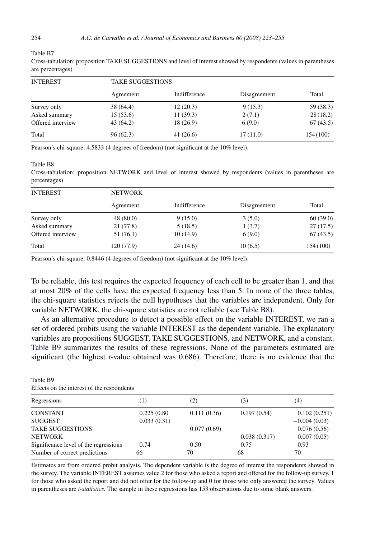Table B7

Cross-tabulation: proposition TAKE SUGGESTIONS and level of interest showed by respondents (values in parentheses are percentages)

| <b>INTEREST</b>   | <b>TAKE SUGGESTIONS</b> |              |              |           |  |  |
|-------------------|-------------------------|--------------|--------------|-----------|--|--|
|                   | Agreement               | Indifference | Disagreement | Total     |  |  |
| Survey only       | 38 (64.4)               | 12(20.3)     | 9(15.3)      | 59 (38.3) |  |  |
| Asked summary     | 15(53.6)                | 11(39.3)     | 2(7.1)       | 28(18,2)  |  |  |
| Offered interview | 43(64.2)                | 18 (26.9)    | 6(9.0)       | 67(43.5)  |  |  |
| Total             | 96(62.3)                | 41(26.6)     | 17(11.0)     | 154(100)  |  |  |

Pearson's chi-square: 4.5833 (4 degrees of freedom) (not significant at the 10% level).

#### Table B8

Cross-tabulation: proposition NETWORK and level of interest showed by respondents (values in parentheses are percentages)

| <b>INTEREST</b>   | <b>NETWORK</b> |              |              |           |
|-------------------|----------------|--------------|--------------|-----------|
|                   | Agreement      | Indifference | Disagreement | Total     |
| Survey only       | 48(80.0)       | 9(15.0)      | 3(5.0)       | 60(39.0)  |
| Asked summary     | 21 (77.8)      | 5(18.5)      | 1(3.7)       | 27(17.5)  |
| Offered interview | 51 (76.1)      | 10(14.9)     | 6(9.0)       | 67(43.5)  |
| Total             | 120(77.9)      | 24(14.6)     | 10(6.5)      | 154 (100) |

Pearson's chi-square: 0.8446 (4 degrees of freedom) (not significant at the 10% level).

To be reliable, this test requires the expected frequency of each cell to be greater than 1, and that at most 20% of the cells have the expected frequency less than 5. In none of the three tables, the chi-square statistics rejects the null hypotheses that the variables are independent. Only for variable NETWORK, the chi-square statistics are not reliable (see Table B8).

As an alternative procedure to detect a possible effect on the variable INTEREST, we ran a set of ordered probits using the variable INTEREST as the dependent variable. The explanatory variables are propositions SUGGEST, TAKE SUGGESTIONS, and NETWORK, and a constant. Table B9 summarizes the results of these regressions. None of the parameters estimated are significant (the highest *t*-value obtained was 0.686). Therefore, there is no evidence that the

| Regressions<br>(2)<br>(1)                             | (3)          | (4)            |
|-------------------------------------------------------|--------------|----------------|
| <b>CONSTANT</b><br>0.111(0.36)<br>0.225(0.80)         | 0.197(0.54)  | 0.102(0.251)   |
| <b>SUGGEST</b><br>0.033(0.31)                         |              | $-0.004(0.03)$ |
| <b>TAKE SUGGESTIONS</b><br>0.077(0.69)                |              | 0.076(0.56)    |
| <b>NETWORK</b>                                        | 0.038(0.317) | 0.007(0.05)    |
| Significance level of the regressions<br>0.74<br>0.50 | 0.75         | 0.93           |
| Number of correct predictions<br>66<br>70             | 68           | 70             |

Table B9 Effects on the interest of the respondents

Estimates are from ordered probit analysis. The dependent variable is the degree of interest the respondents showed in the survey. The variable INTEREST assumes value 2 for those who asked a report and offered for the follow-up survey, 1 for those who asked the report and did not offer for the follow-up and 0 for those who only answered the survey. Values in parentheses are *t-statistics*. The sample in these regressions has 153 observations due to some blank answers.